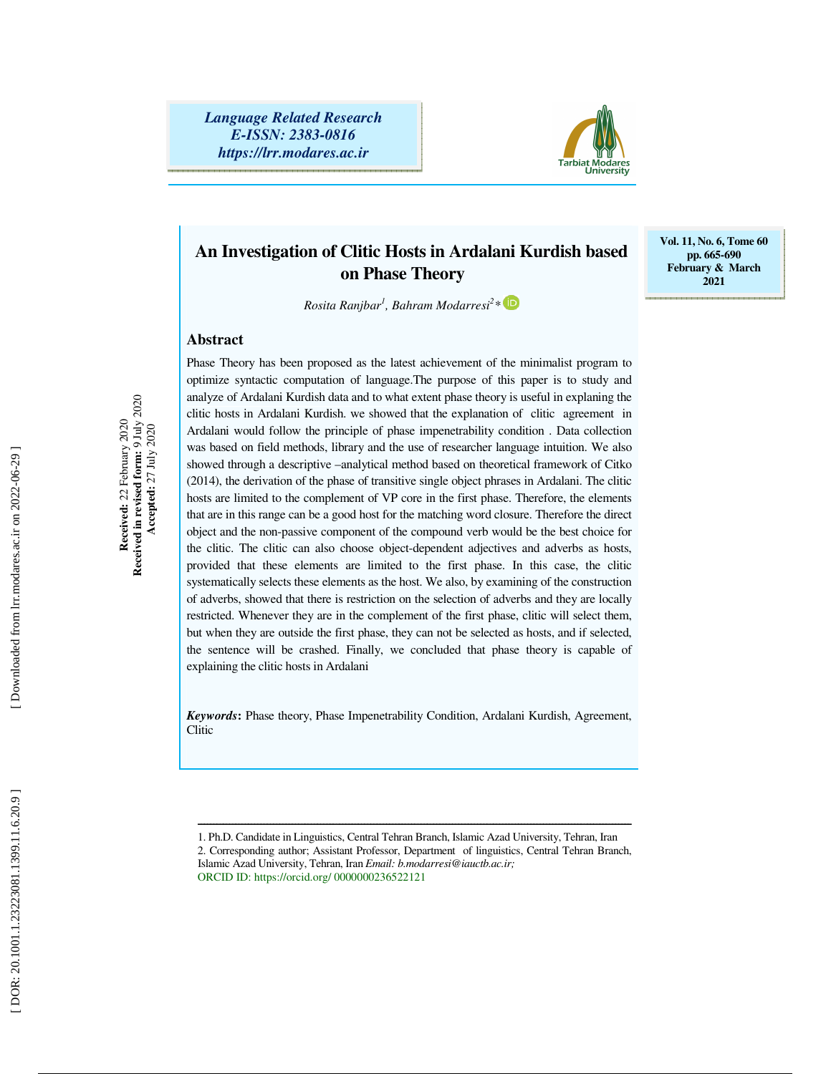*Language Related Research E-ISSN: 2383-0816 https://lrr.modares.ac.ir*



## **An Investigation of Clitic Hosts in Ardalani Kurdish based on Phase Theory**

**Vol. 11, No. 6, Tome 60 pp. 665-690 February & March 2021** 

 $R$ osita Ranjbar<sup>1</sup>, Bahram Modarresi<sup>2</sup>\*

Phase Theory has been proposed as the latest achievement of the minimalist program to

#### **Abstract**

Received:  $22$  February  $2020$ <br>Received in revised form:  $9 \text{ July } 2020$ <br>Accepted:  $27 \text{ July } 2020$ **Received in revised form:** 9 July 2020 **Received:** 22 February 2020  **Accepted:** 27 July 2020 optimize syntactic computation of language.The purpose of this paper is to study and analyze of Ardalani Kurdish data and to what extent phase theory is useful in explaning the clitic hosts in Ardalani Kurdish. we showed that the explanation of clitic agreement in Ardalani would follow the principle of phase impenetrability condition . Data collection was based on field methods, library and the use of researcher language intuition. We also showed through a descriptive –analytical method based on theoretical framework of Citko (2014), the derivation of the phase of transitive single object phrases in Ardalani. The clitic hosts are limited to the complement of VP core in the first phase. Therefore, the elements that are in this range can be a good host for the matching word closure. Therefore the direct object and the non-passive component of the compound verb would be the best choice for the clitic. The clitic can also choose object-dependent adjectives and adverbs as hosts, provided that these elements are limited to the first phase. In this case, the clitic systematically selects these elements as the host. We also, by examining of the construction of adverbs, showed that there is restriction on the selection of adverbs and they are locally restricted. Whenever they are in the complement of the first phase, clitic will select them, but when they are outside the first phase, they can not be selected as hosts, and if selected, the sentence will be crashed. Finally, we concluded that phase theory is capable of explaining the clitic hosts in Ardalani

*Keywords***:** Phase theory, Phase Impenetrability Condition, Ardalani Kurdish, Agreement, Clitic

ــــــــــــــــــــــــــــــــــــــــــــــــــــــــــــــــــــــــــــــــــــــــــــــــــــــــــــــــــــــــــــــــــــــــــ

<sup>1.</sup> Ph.D. Candidate in Linguistics, Central Tehran Branch, Islamic Azad University, Tehran, Iran 2. Corresponding author; Assistant Professor, Department of linguistics, Central Tehran Branch, Islamic Azad University, Tehran, Iran *Email: b.modarresi@iauctb.ac.ir;* ORCID ID: https://orcid.org/ 0000000236522121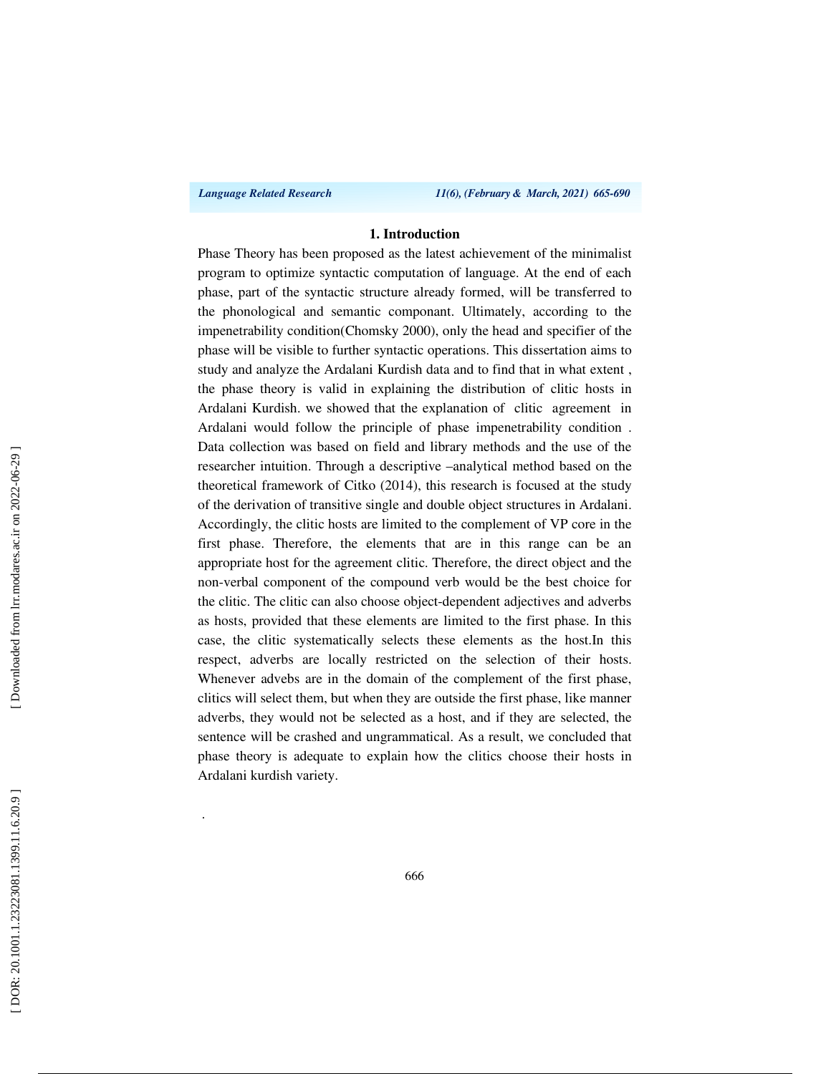.

*Language Related Research 11(6), (February & March, 2021) 665-690*

#### **1. Introduction**

Phase Theory has been proposed as the latest achievement of the minimalist program to optimize syntactic computation of language. At the end of each phase, part of the syntactic structure already formed, will be transferred to the phonological and semantic componant. Ultimately, according to the impenetrability condition(Chomsky 2000), only the head and specifier of the phase will be visible to further syntactic operations. This dissertation aims to study and analyze the Ardalani Kurdish data and to find that in what extent , the phase theory is valid in explaining the distribution of clitic hosts in Ardalani Kurdish. we showed that the explanation of clitic agreement in Ardalani would follow the principle of phase impenetrability condition . Data collection was based on field and library methods and the use of the researcher intuition. Through a descriptive –analytical method based on the theoretical framework of Citko (2014), this research is focused at the study of the derivation of transitive single and double object structures in Ardalani. Accordingly, the clitic hosts are limited to the complement of VP core in the first phase. Therefore, the elements that are in this range can be an appropriate host for the agreement clitic. Therefore, the direct object and the non-verbal component of the compound verb would be the best choice for the clitic. The clitic can also choose object-dependent adjectives and adverbs as hosts, provided that these elements are limited to the first phase. In this case, the clitic systematically selects these elements as the host.In this respect, adverbs are locally restricted on the selection of their hosts. Whenever advebs are in the domain of the complement of the first phase, clitics will select them, but when they are outside the first phase, like manner adverbs, they would not be selected as a host, and if they are selected, the sentence will be crashed and ungrammatical. As a result, we concluded that phase theory is adequate to explain how the clitics choose their hosts in Ardalani kurdish variety.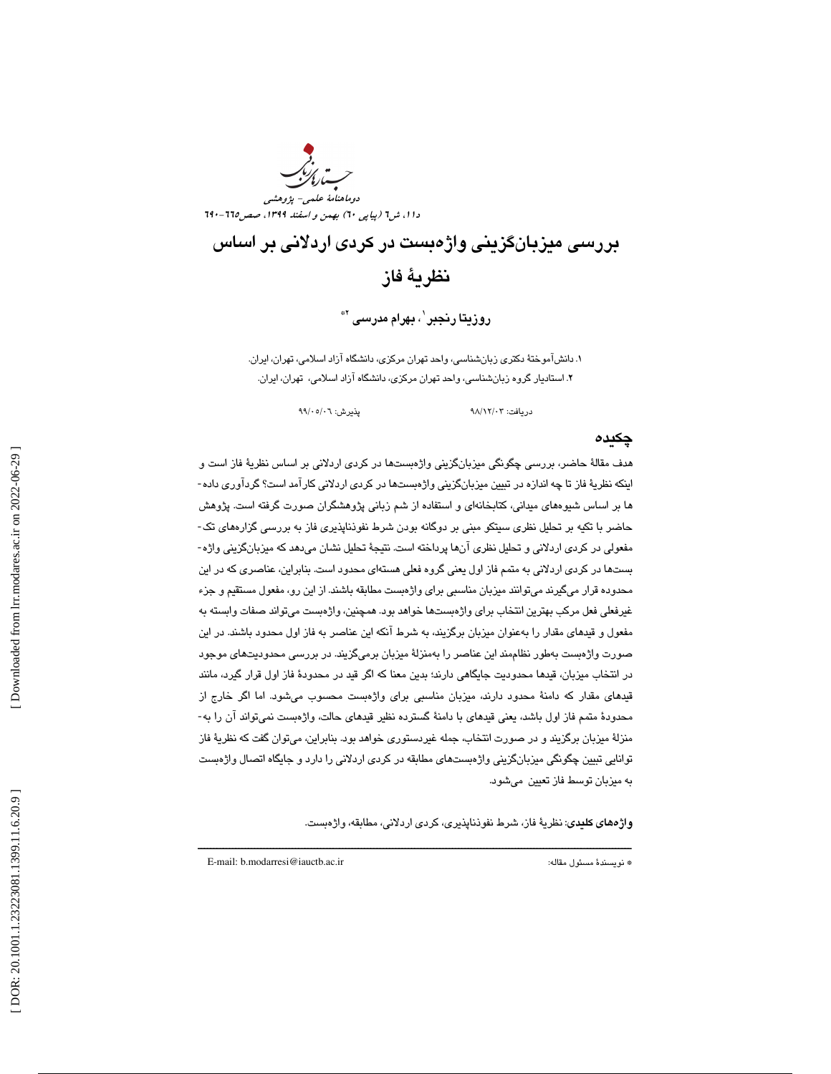دوماهنامة علمي- پژوهشي دا ۱، ش1 (پیاپی ٦٠) بهمن و اسفند ١٣٩٩، صص110-٦٦٠

# بررسي ميزبانگزيني واژهبست در كردي اردلاني بر اساس نظرية فاز

روزيتا رنجبر ٰ ، بهرام مدرسى '\*

. 1 دانشآموختة دكتري زبانشناسي، واحد تهران مركزي، دانشگاه آزاد اسلامي، تهران، ايران. . استاديار گروه زبانشناسي، واحد تهران مركزي، دانشگاه آزاد اسلامي، تهران، ايران. 2

دريافت: 03/ 12/ 98 پذيرش: 06/ 05/ 99

### چكيده

هدف مقالة حاضر، بررسي چگونگي ميزبانگزيني واژهبستها در كردي اردلاني بر اساس نظرية فاز است و اينكه نظرية فاز تا چه اندازه در تبيين ميزبانگزيني واژهبستها در كردي اردلاني كارآمد است؟ گردآوري داده- ها بر اساس شيوههاي ميداني، كتابخانهاي و استفاده از شم زباني پژوهشگران صورت گرفته است. پژوهش حاضر با تكيه بر تحليل نظري سيتكو مبني بر دوگانه بودن شرط نفوذناپذيري فاز به بررسي گزارههاي تك- مفعولي در كردي اردلاني و تحليل نظري آنها پرداخته است. نتيجة تحليل نشان ميدهد كه ميزبانگزيني واژه- بستها در كردي اردلاني به متمم فاز اول يعني گروه فعلي هستهاي محدود است. بنابراين، عناصري كه در اين محدوده قرار ميگيرند ميتوانند ميزبان مناسبي براي واژهبست مطابقه باشند. از اين رو، مفعول مستقيم و جزء غيرفعلي فعل مركب بهترين انتخاب براي واژهبستها خواهد بود. همچنين، واژهبست ميتواند صفات وابسته به مفعول و قيدهاي مقدار را بهعنوان ميزبان برگزيند، به شرط آنكه اين عناصر به فاز اول محدود باشند. در اين صورت واژهبست بهطور نظاممند اين عناصر را بهمنزلة ميزبان برميگزيند. در بررسي محدوديتهاي موجود ر انتخاب ميزبان، قيدها محدوديت جايگاهي دارند؛ بدين معنا كه اگر قيد در محدودة فاز اول قرار گيرد، مانند د قيدهاي مقدار كه دامنة محدود دارند، ميزبان مناسبي براي واژهبست محسوب ميشود. اما اگر خارج از محدودة متمم فاز اول باشد، يعني قيدهاي با دامنة گسترده نظير قيدهاي حالت، واژهبست نميتواند آن را به- منزلة ميزبان برگزيند و در صورت انتخاب، جمله غيردستوري خواهد بود. بنابراين، ميتوان گفت كه نظرية فاز توانايي تبيين چگونگي ميزبانگزيني واژهبستهاي مطابقه در كردي اردلاني را دارد و جايگاه اتصال واژهبست به ميزبان توسط فاز تعيين ميشود.

ــــــــــــــــــــــــــــــــــــــــــــــــــــــــــــــــــــــــــــــــــــــــــــــــــــــــــــــــــــــــــــــــــــــــــ

واژههاي كليدي: نظرية فاز، شرط نفوذناپذيري، كردي اردلاني، مطابقه، واژهبست .

E-mail: b.modarresi@iauctb.ac.ir :مقاله مسئول نويسندة\*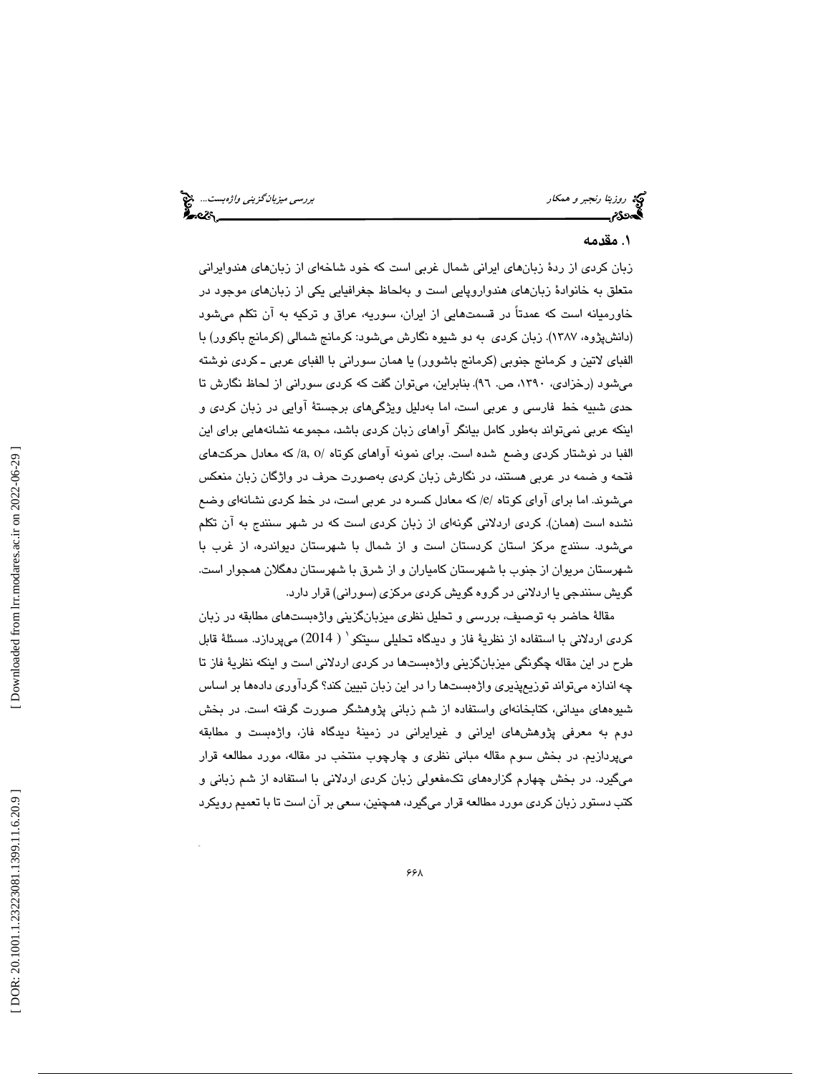كريم روزيتا رنجبر و همكار بررسي ميزبانگزين*ي واژهبست...*. پيچ<br>**الیدن تاريخ بررسي ميزبانگ بررسي ميزبان بررسي ميزبانگزيني واژهبست... بيچ بررسي ميزبانگزيني واژهبست... پيچ بيگ** 

#### 1. مقدمه

زبان كردي از ردة زبانهاي ايراني شمال غربي است كه خود شاخهاي از زبانهاي هندوايراني متعلق به خانوادة زبانهاي هندواروپايي است و بهلحاظ جغرافيايي يكي از زبانهاي موجود در خاورميانه است كه عمدتاً در قسمتهايي از ايران، سوريه، عراق و تركيه به آن تكلم ميشود (دانشپژوه، 1387 ). زبان كردي به دو شيوه نگارش ميشود: كرمانج شمالي (كرمانج باكوور) با الفباي لاتين و كرمانج جنوبي (كرمانج باشوور) يا همان سوراني با الفباي عربي ـ كردي نوشته ميشود (رخزادي، ۱۳۹۰، ص. ۹٦). بنابراين، ميتوان گفت كه كردي سوراني از لحاظ نگارش تا حدی شبیه خط فارسی و عربی است، اما بهدلیل ویژگیهای برجستهٔ آوایی در زبان كردی و اينكه عربي نميتواند بهطور كامل بيانگر آواهاي زبان كردي باشد، مجموعه نشانههايي براي اين الفبا در نوشتار كردي وضع شده است. براي نمونه آواهاي كوتاه / o ,a / كه معادل حركتهاي فتحه و ضمه در عربي هستند، در نگارش زبان كردي بهصورت حرف در واژگان زبان منعكس میشوند. اما برای آوای کوتاه /e/ که معادل کسره در عربی است، در خط کردی نشانهای وضع نشده است (همان). كردي اردلاني گونهاي از زبان كردي است كه در شهر سنندج به آن تكلم ميشود. سنندج مركز استان كردستان است و از شمال با شهرستان ديواندره، از غرب با شهرستان مريوان از جنوب با شهرستان كامياران و از شرق با شهرستان دهگلان همجوار است. گويش سنندجي يا اردلاني در گروه گويش كردي مركزي (سوراني) قرار دارد.

مقالة حاضر به توصيف، بررسي و تحليل نظري ميزبانگزيني واژهبستهاي مطابقه در زبان كردى اردلانى با استفاده از نظريهٔ فاز و ديدگاه تحليلى سيتكو` ( 2014) مىپردازد. مسئلهٔ قابل طرح در اين مقاله چگونگي ميزبانگزيني واژهبستها در كردي اردلاني است و اينكه نظرية فاز تا چه اندازه ميتواند توزيعپذيري واژهبستها را در اين زبان تبيين كند؟ گردآوري دادهها بر اساس شيوههاي ميداني، كتابخانهاي واستفاده از شم زباني پژوهشگر صورت گرفته است. در بخش دوم به معرفي پژوهشهاي ايراني و غيرايراني در زمينة ديدگاه فاز، واژهبست و مطابقه ميپردازيم. در بخش سوم مقاله مباني نظري و چارچوب منتخب در مقاله، مورد مطالعه قرار ميگيرد. در بخش چهارم گزارههاي تكمفعولي زبان كردي اردلاني با استفاده از شم زباني و كتب دستور زبان كرد*ى* مورد مطالعه قرار مىگيرد، همچنين، سعى بر آن است تا با تعميم رويكرد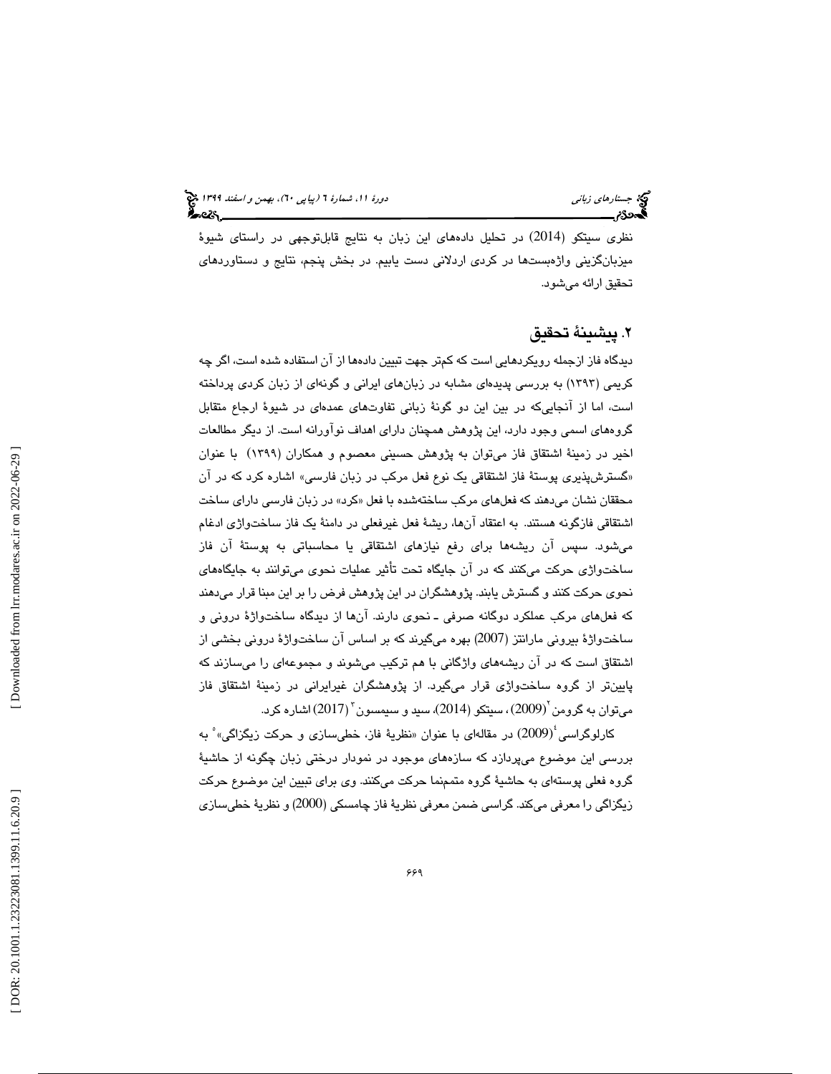نظری سيتکو (2014) در تحليل دادههای اين زبان به نتايج قابلتوجهی در راستای شيوهٔ ميزبانگزيني واژهبستها در كردي اردلاني دست يابيم. در بخش پنجم، نتايج و دستاوردهاي تحقيق ارائه ميشود.

#### 2. پيشينة تحقيق

ديدگاه فاز ازجمله رويكردهايي است كه كمتر جهت تبيين دادهها از آن استفاده شده است، اگر چه كريمي (١٣٩٣) به بررسي پديدهاي مشابه در زبانهاي ايراني و گونهاي از زبان كردي پرداخته است، اما از آنجاییکه در بین این دو گونهٔ زبانی تفاوتهای عمدهای در شیوهٔ ارجاع متقابل گروههای اسمی وجود دارد، این پژوهش همچنان دارای اهداف نوآورانه است. از دیگر مطالعات اخير در زمينهٔ اشتقاق فاز مىتوان به پژوهش حسيني معصوم و همكاران (١٣٩٩) با عنوان «گسترشپذیری پوستهٔ فاز اشتقاقی یک نوع فعل مرکب در زبان فارسی» اشاره کرد که در آن محققان نشان میدهند که فعلهای مرکب ساختهشده با فعل «کرد» در زبان فارسی دارای ساخت اشتقاقي فازگونه هستند. به اعتقاد آنها، ريشهٔ فعل غيرفعلي در دامنهٔ يک فاز ساختواژي ادغام ميشود. سپس آن ريشهها براي رفع نيازهاي اشتقاقي يا محاسباتي به پوستهٔ آن فاز ساختواژی حرکت میکنند که در آن جایگاه تحت تأثیر عملیات نحوی میتوانند به جایگاههای نحوی حرکت کنند و گسترش يابند. پژوهشگران در اين پژوهش فرض را بر اين مبنا قرار مىدهند كه فعلهاي مركب عملكرد دوگانه صرفي ــ نحوي دارند. آنها از ديدگاه ساختواژهٔ دروني و ساختواژهٔ بیرونی مارانتز (2007) بهره میگیرند كه بر اساس آن ساختواژهٔ درونی بخشی از اشتقاق است كه در آن ريشههاي واژگاني با هم تركيب ميشوند و مجموعهاي را ميسازند كه پايينتر از گروه ساختواژي قرار ميگيرد. از پژوهشگران غيرايراني در زمينة اشتقاق فاز میتوان به گرومن <sup>۲</sup>(2009)، سیتکو (2014)، سید و سیمسون <sup>۳</sup> (2017) اشاره کرد.

كارلوگراسي<sup>؛</sup>(2009) در مقالهای با عنوان «نظريهٔ فاز، خطیسازی و حركت زيگزاگی» ْ به بررسي اين موضوع ميپردازد كه سازههاي موجود در نمودار درختي زبان چگونه از حاشي ة گروه فعلي پوستهاي به حاشيهٔ گروه متممنما حركت ميكنند. وي براي تبيين اين موضوع حركت زيگزاگي را معرفي ميكند. گراسي ضمن معرفي نظريهٔ فاز چامسكي (2000) و نظريهٔ خطيسازي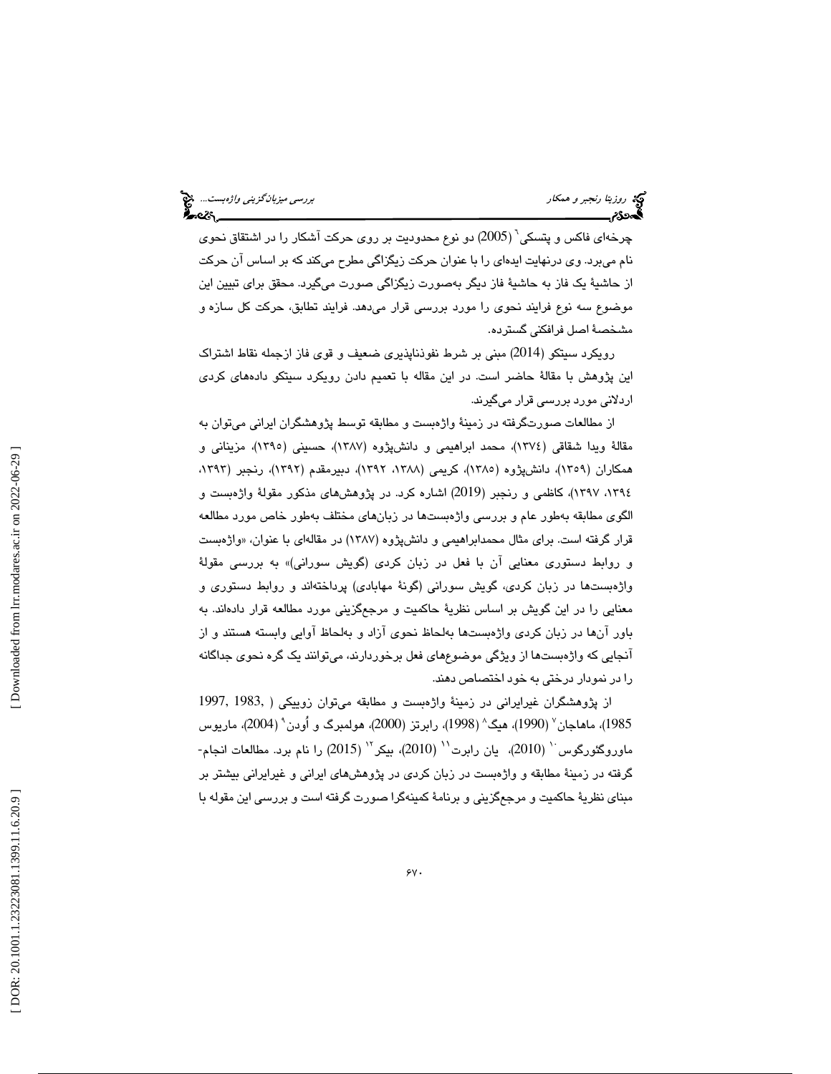<sup>6</sup> چرخهاي فاكس و پتسكي ( 2005) دو نوع محدوديت بر روي حركت آشكار را در اشتقاق نحوي نام ميبرد. وي درنهايت ايدهاي را با عنوان حركت زيگزاگي مطرح ميكند كه بر اساس آن حركت از حاشيهٔ يک فاز به حاشيهٔ فاز ديگر بهصورت زيگزاگي صورت ميگيرد. محقق براي تبيين اين موضوع سه نوع فرايند نحوي را مورد بررسي قرار ميدهد. فرايند تطابق، حركت كل سازه و مشخص ة اصل فرافكني گسترده.

رويكرد سيتكو (2014) مبني بر شرط نفوذناپذيري ضعيف و قوي فاز ازجمله نقاط اشتراك اين پژوهش با مقالة حاضر است. در اين مقاله با تعميم دادن رويكرد سيتكو دادههاي كردي اردلاني مورد بررسي قرار ميگيرند.

از مطالعات صورتگرفته در زمینهٔ واژهبست و مطابقه توسط پژوهشگران ایرانی میتوان به مقالهٔ ویدا شقاقی (١٣٧٤)، محمد ابراهیمی و دانشپژوه (١٣٨٧)، حسینی (١٣٩٥)، مزینانی و همكاران (١٣٥٩)، دانشپژوه (١٣٨٥، كريمي (١٢٨٨، ١٢٩٢)، دبيرمقدم (١٣٩٢)، رنجبر (١٢٩٢، ،1394 1397 ، ) كاظمي و رنجبر ( 2019 ) اشاره كرد. در پژوهشهاي مذكور مقولة واژهبست و الگوي مطابقه بهطور عام و بررسي واژهبستها در زبانهاي مختلف بهطور خاص مورد مطالعه قرار گرفته است. براي مثال محمدابراهيمي و دانشپژوه (۱۳۸۷) در مقالهاي با عنوان، «واژهبست و روابط دستوري معنايي آن با فعل در زبان كردي (گويش سوراني)» به بررسي مقولة واژهبستها در زبان كردي، گويش سوراني (گونة مهابادي) پرداختهاند و روابط دستوري و معنايي را در اين گويش بر اساس نظريهٔ حاكميت و مرجعگزيني مورد مطالعه قرار دادهاند. به باور آنها در زبان كردي واژهبستها بهلحاظ نحوي آزاد و بهلحاظ آوايي وابسته هستند و از آنجا يي كه واژهبستها از ويژگي موضوعهاي فعل برخوردارند، ميتوانند يك گره نحوي جداگانه را در نمودار درختي به خود اختصاص دهند.

 از پژوهشگران غيرايراني در زمينة واژهبست و مطابقه ميتوان زوييكي ( 1983, 1997, 1985)، ماهاجان<sup>7</sup> (1990)، هيگ<sup>^</sup> (1998)، رابرتز (2000)، هولمبرگ و اُودن<sup>۹</sup> (2004)، ماريوس ماوروگئورگوس<sup>۰٬</sup> (2010)، یان رابرت<sup>٬٬</sup> (2010)، بیکر<sup>٬٬</sup> (2015) را نام برد. مطالعات انجام-گرفته در زمینهٔ مطابقه و واژهبست در زبان كردي در پژوهشهاي ايراني و غیرایراني بیشتر بر مبناي نظريۀ حاكميت و مرجعگزيني و برنامۀ كمينهگرا صورت گرفته است و بررسي اين مقوله با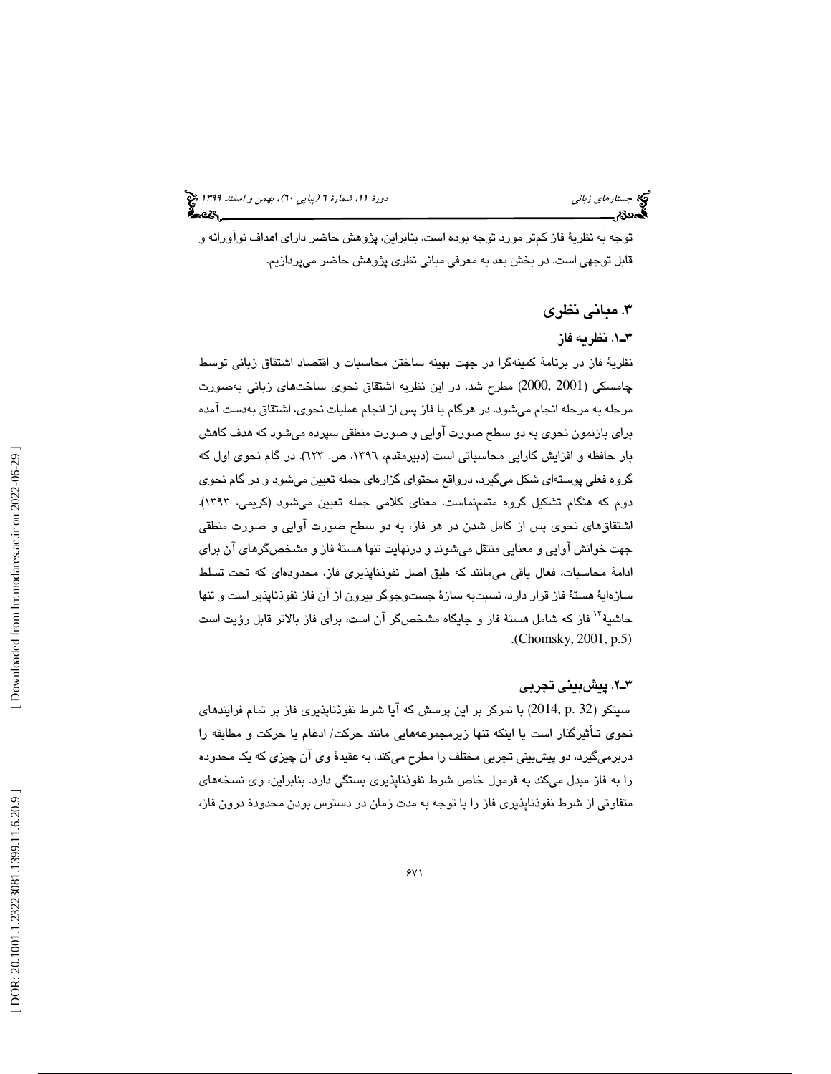توجه به نظريهٔ فاز كمتر مورد توجه بوده است. بنابراين، پژوهش حاضر داراي اهداف نوآورانه و قابل توجهي است. در بخش بعد به معرفي مباني نظري پژوهش حاضر ميپردازيم.

#### 3. مباني نظري

#### 1ـ3 . نظريه فاز

نظرية فاز در برنامة كمينهگرا در جهت بهينه ساختن محاسبات و اقتصاد اشتقاق زباني توسط 2001 2000,) مطرح شد. در اين نظريه اشتقاق نحوي ساختهاي زباني بهصورت چامسكي ( مرحله به مرحله انجام ميشود. در هرگام يا فاز پس از انجام عمليات نحوي، اشتقاق بهدست آمده براي بازنمون نحوي به دو سطح صورت آوايي و صورت منطقي سپرده ميشود كه هدف كاهش بار حافظه و افزايش كارايي محاسباتي است (دبيرمقدم، ،1396 ص. 623). در گام نحوي اول كه گروه فعلي پوستهاي شكل ميگيرد، درواقع محتواي گزارهاي جمله تعيين ميشود و در گام نحوي دوم كه هنگام تشكيل گروه متممنماست، معناي كلامي جمله تعيين ميشود (كريمي، 1393). اشتقاقهاي نحوي پس از كامل شدن در هر فاز، به دو سطح صورت آوايي و صورت منطقي جهت خوانش آوايي و معنايي منتقل ميشوند و درنهايت تنها هستة فاز و مشخصگرهاي آن براي ادامة محاسبات، فعال باقي ميمانند كه طبق اصل نفوذناپذيري فاز، محدودهاي كه تحت تسلط سازهاية هستة فاز قرار دارد، نسبتبه سازة جستوجوگر بيرون از آن فاز نفوذناپذير است و تنها حاشيهٔ ّ`` فاز كه شامل هستهٔ فاز و جايگاه مشخصگر آن است، براي فاز بالاتر قابل رؤيت است . (Chomsky, 2001, p.5)

#### 2ـ3 . پيشبيني تجربي

سيتكو (32 .p 2014, (با تمركز بر اين پرسش كه آيا شرط نفوذناپذيري فاز بر تمام فرايندهاي نحوي تـأثيرگذار است يا اينكه تنها زيرمجموعههايي مانند حركت/ ادغام يا حركت و مطابقه را دربرميگيرد، دو پيشبيني تجربي مختلف را مطرح ميكند. به عقيدة وي آن چيزي كه يك محدوده را به فاز مبدل ميكند به فرمول خاص شرط نفوذناپذيري بستگي دارد. بنابراين، وي نسخههاي متفاوتي از شرط نفوذناپذيري فاز را با توجه به مدت زمان در دسترس بودن محدودة درون فاز،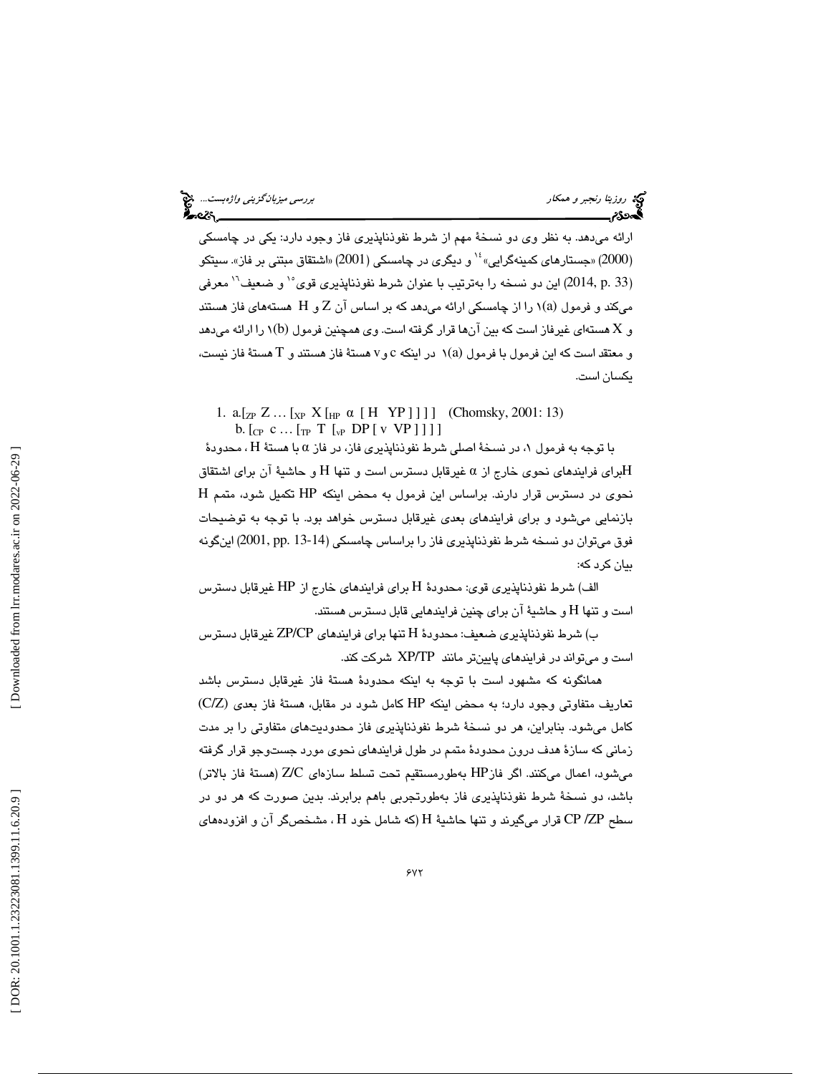ارائه میدهد. به نظر وی دو نسخهٔ مهم از شرط نفوذناپذیری فاز وجود دارد: یکی در چامسکی<br>(2000) «جستارهای کمینهگرایی» ٔ` و دیگری در چامسکی (2001) «اشتقاق مبتنی بر فاز». سیتکو (2014, p. 33) اين دو نسخه را بهترتيب با عنوان شرط نفوذناپذيري قوي°' و ضعيف<sup>٦</sup>' معرفي میکند و فرمول (۱) را از چامسکی ارائه میدهد که بر اساس آن Z و H هستههای فاز هستند و X هستهای غیرفاز است که بین آنها قرار گرفته است. وی همچنین فرمول (b)۱ را ارائه میدهد و معتقد است كه اين فرمول با فرمول (a)١ در اينكه c وv هستهٔ فاز هستند و T هستهٔ فاز نيست، يكسان است.

1.  $a.[z_P Z... [x_P X[_H P \alpha [H YP]]]]$  (Chomsky, 2001: 13) b.  $[_{CP}$  c ...  $[_{TP}$  T  $[_{VP}$  DP  $[$  v VP  $]$  ] ] ]

با توجه به فرمول ۱، در نسخهٔ اصلی شرط نفوذناپذیری فاز، در فاز α با هستهٔ H ، محدودهٔ برای فرایندهای نحوی خارج از a غیرقابل دسترس است و تنها H و حاشیهٔ آن برای اشتقاق $\rm H$ نحوي در دسترس قرار دارند. براساس اين فرمول به محض اينكه HP تكميل شود، متمم H بازنمايي ميشود و براي فرايندهاي بعدي غيرقابل دسترس خواهد بود. با توجه به توضيحات فوق میتوان دو نسخه شرط نفوذناپذیری فاز را براساس چامسکی (14-13 .pp .13) اینگونه بيان كرد كه:

الف) شرط نفوذناپذيري قوي: محدودهٔ H براي فرايندهاي خارج از HP غيرقابل دسترس است و تنها H و حاشية آن براي چنين فرايندهايي قابل دسترس هستند.

ب) شرط نفوذناپذيري ضعيف: محدودهٔ H تنها براي فرايندهاي ZP/CP غيرقابل دسترس است و ميتواند در فرايندهاي پايينتر مانند TP/XP شركت كند.

 همانگونه كه مشهود است با توجه به اينكه محدودة هستة فاز غيرقابل دسترس باشد تعاريف متفاوتي وجود دارد؛ به محض اينكه HP كامل شود در مقابل، هستة فاز بعدي )C/Z) كامل ميشود. بنابراين، هر دو نسخة شرط نفوذناپذيري فاز محدوديتهاي متفاوتي را بر مدت زماني كه سازة هدف درون محدودة متمم در طول فرايندهاي نحوي مورد جستوجو قرار گرفته ميشود، اعمال ميكنند. اگر فازHP بهطورمستقيم تحت تسلط سازهاي C/Z) هستة فاز بالاتر) باشد، دو نسخة شرط نفوذناپذيري فاز بهطورتجربي باهم برابرند. بدين صورت كه هر دو در سطح CP /ZP قرار میگیرند و تنها حاشیهٔ H (که شامل خود H ، مشخصگر آن و افزودههای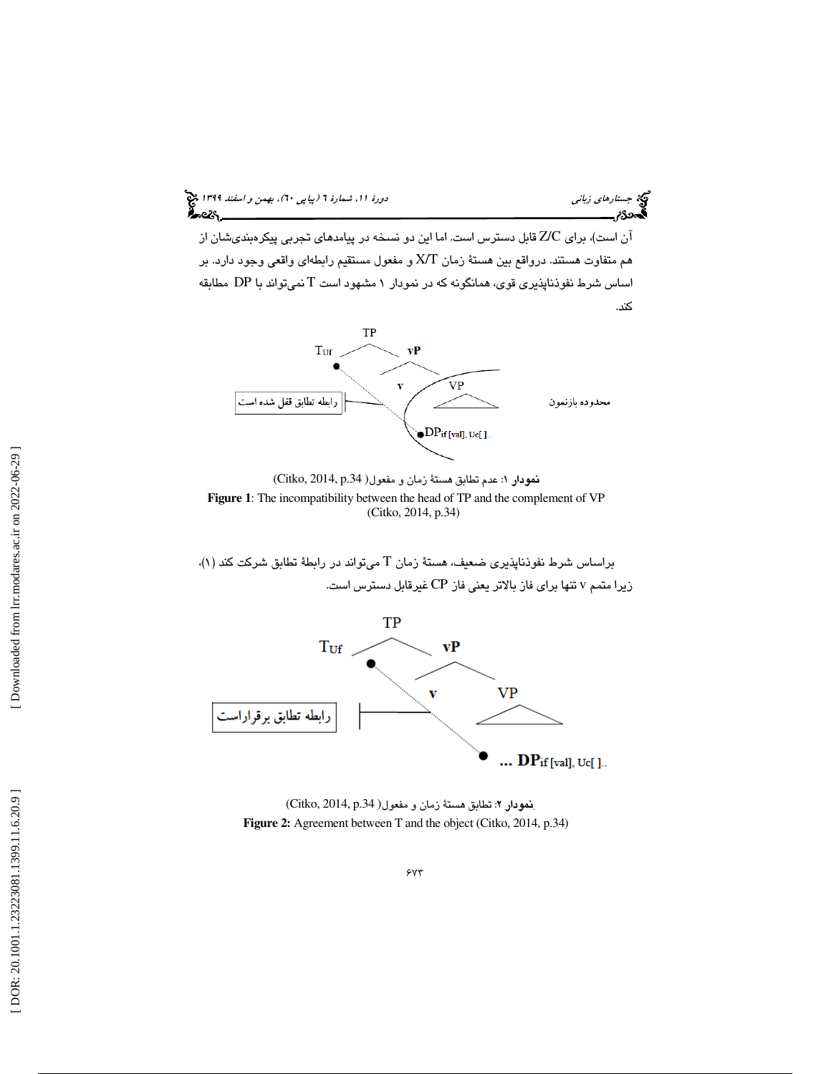

آن است)، براي C/Z قابل دسترس است. اما اين دو نسخه در پيامدهاي تجربي پيكرهبنديشان از هم متفاوت هستند. درواقع بين هستة زمان X/T و مفعول مستقيم رابطهاي واقعي وجود دارد. بر اساس شرط نفوذناپذيري قوي، همانگونه كه در نمودار 1 مشهود است T نميتواند با DP مطابقه كند.



 (Citko, 2014, p.34 نمودار 1: عدم تطابق هستة زمان و مفعول( **Figure 1**: The incompatibility between the head of TP and the complement of VP (Citko, 2014, p.34)

براساس شرط نفوذناپذيري ضعيف، هستة زمان T ميتواند در رابطة تطابق شركت كند (١). زيرا متمم v تنها براي فاز بالاتر يعني فاز CP غيرقابل دسترس است.



. (Citko, 2014, p.34 نمودار 2: تطابق هستة زمان و مفعول( **Figure 2:** Agreement between T and the object (Citko, 2014, p.34)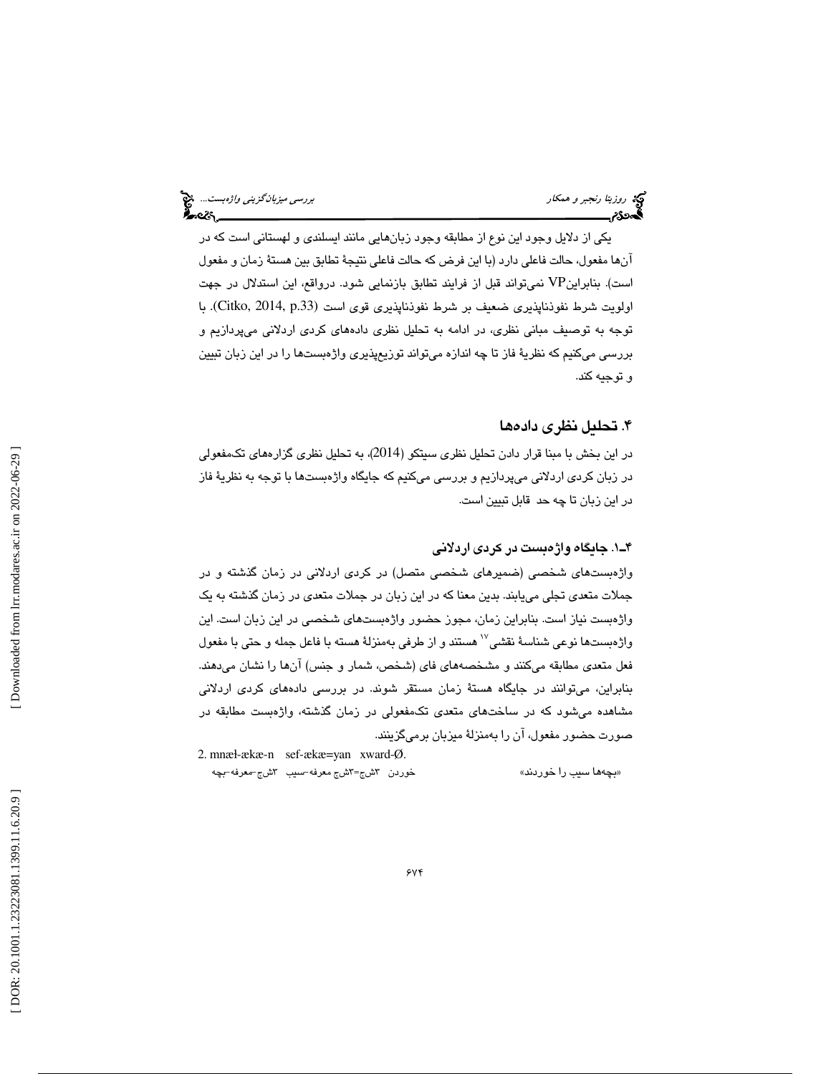يكي از دلايل وجود اين نوع از مطابقه وجود زبانهايي مانند ايسلندي و لهستاني است كه در آنها مفعول، حالت فاعلي دارد (با اين فرض كه حالت فاعلي نتيجة تطابق بين هستة زمان و مفعول است). بنابراينVP نميتواند قبل از فرايند تطابق بازنمايي شود. درواقع، اين استدلال در جهت اولويت شرط نفوذناپذيري ضعيف بر شرط نفوذناپذيري قوي است (Citko, 2014, p.33). با توجه به توصيف مباني نظري، در ادامه به تحليل نظري دادههاي كردي اردلاني ميپردازيم و بررسي ميكنيم كه نظرية فاز تا چه اندازه ميتواند توزيعپذيري واژهبستها را در اين زبان تبيين و توجيه كند.

#### 4. تحليل نظري دادهها

در اين بخش با مبنا قرار دادن تحليل نظري سيتكو (2014 )، به تحليل نظري گزارههاي تكمفعولي در زبان كردي اردلاني ميپردازيم و بررسي ميكنيم كه جايگاه واژهبستها با توجه به نظرية فاز در اين زبان تا چه حد قابل تبيين است.

#### . 1ـ4 جايگاه واژهبست در كردي اردلاني

واژهبستهاي شخصي (ضميرهاي شخصي متصل) در كردي اردلاني در زمان گذشته و در جملات متعدي تجلي مييابند. بدين معنا كه در اين زبان در جملات متعدي در زمان گذشته به يك واژهبست نياز است. بنابراين زمان، مجوز حضور واژهبستهاي شخصي در اين زبان است. اين واژهبستها نوعي شناسهٔ نقشي $^{\vee}$ هستند و از طرفي بهمنزلهٔ هسته با فاعل جمله و حتي با مفعول فعل متعدي مطابقه ميكنند و مشخصههاي فاي (شخص، شمار و جنس) آنها را نشان ميدهند. بنابراين، ميتوانند در جايگاه هستة زمان مستقر شوند. در بررسي دادههاي كردي اردلاني مشاهده ميشود كه در ساختهاي متعدي تكمفعولي در زمان گذشته، واژهبست مطابقه در صورت حضور مفعول، آن را بهمنزلة ميزبان برميگزينند.

شج=۳شج معرفه-سيب ۳شج-معرفه-بچه «بچهها سيب را خوردند»

2. mnæ ɫ-ækæ-n sef-ækæ=yan xward-Ø.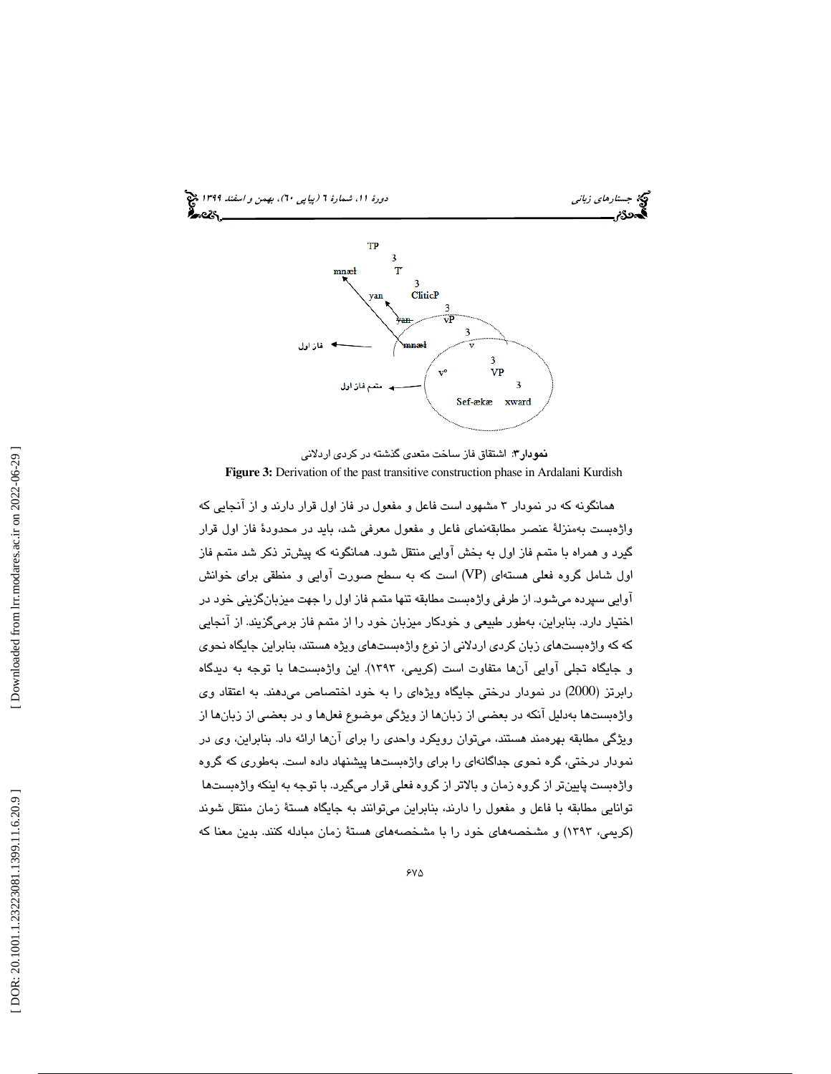

نمودار ٣: اشتقاق فاز ساخت متعدي گذشته در كردي اردلاني **Figure 3:** Derivation of the past transitive construction phase in Ardalani Kurdish

همانگونه كه در نمودار 3 مشهود است فاعل و مفعول در فاز اول قرار دارند و از آنجايي كه واژهبست بهمنزلة عنصر مطابقهنماي فاعل و مفعول معرفي شد، بايد در محدودة فاز اول قرار گيرد و همراه با متمم فاز اول به بخش آوايي منتقل شود. همانگونه كه پيش تر ذكر شد متمم فاز اول شامل گروه فعلي هستهاي (VP (است كه به سطح صورت آوايي و منطقي براي خوانش آوايي سپرده ميشود. از طرفي واژهبست مطابقه تنها متمم فاز اول را جهت ميزبانگزيني خود در اختيار دارد. بنابراين، بهطور طبيعي و خودكار ميزبان خود را از متمم فاز برميگزيند. از آنجايي كه كه واژهبستهاي زبان كردي اردلاني از نوع واژهبستهاي ويژه هستند، بنابراين جايگاه نحوي و جايگاه تجلي آوايي آنها متفاوت است (كريمي، 1393). اين واژهبستها با توجه به ديدگاه رابرتز (2000) در نمودار درختي جايگاه ويژهاي را به خود اختصاص ميدهند. به اعتقاد وي واژهبستها بهدلیل آنکه در بعضی از زبانها از ویژگی موضوع فعلها و در بعضی از زبانها از ویژگی مطابقه بهرهمند هستند، میتوان رویکرد واحدی را برای آنها ارائه داد. بنابراین، وی در نمودار درختي، گره نحوي جداگانهاي را براي واژهبستها پيشنهاد داده است. بهطوري كه گروه واژهبست پايينتر از گروه زمان و بالاتر از گروه فعلي قرار ميگيرد. با توجه به اينكه واژهبستها توانايي مطابقه با فاعل و مفعول را دارند، بنابراين ميتوانند به جايگاه هستة زمان منتقل شوند (كريمي، 1393) و مشخصههاي خود را با مشخصههاي هستة زمان مبادله كنند. بدين معنا كه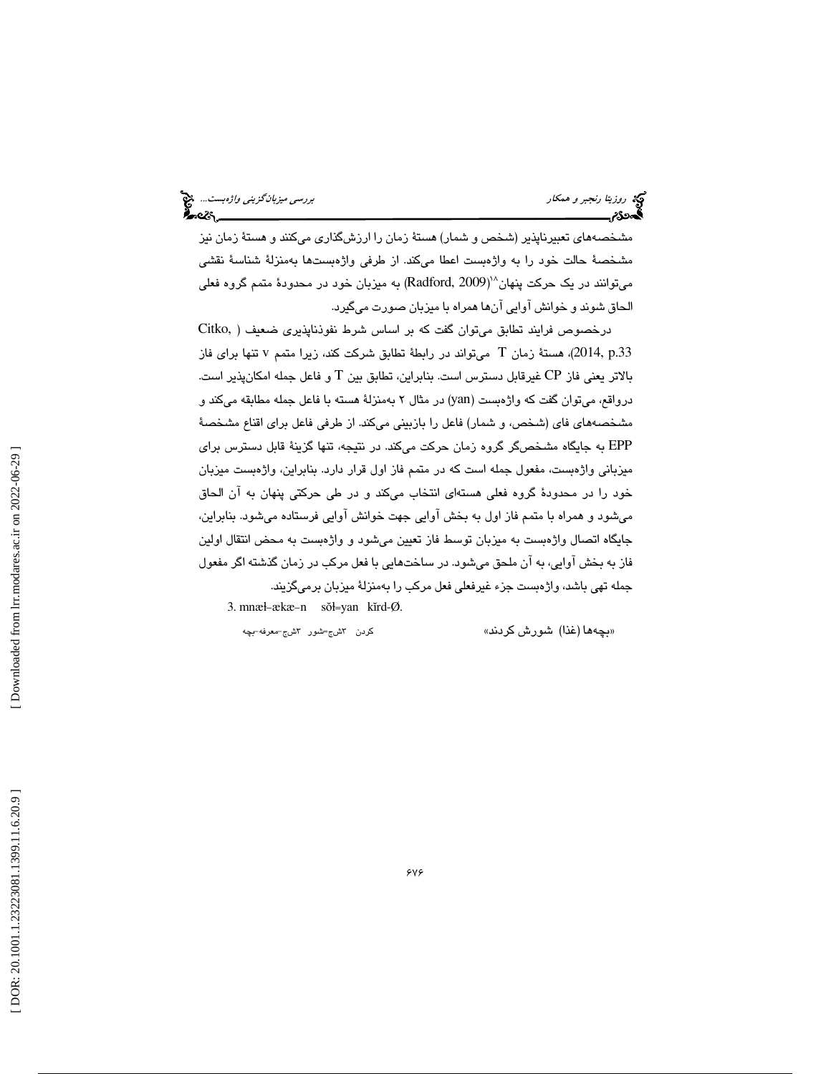مشخصههاي تعبيرناپذير (شخص و شمار) هستة زمان را ارزشگذاري ميكنند و هستة زمان نيز مشخصة حالت خود را به واژهبست اعطا ميكند. از طرفي واژهبستها بهمنزلة شناسة نقشي میتوانند در یک حرکت پنهان^`(Radford, 2009) به میزبان خود در محدودهٔ متمم گروه فعلی الحاق شوند و خوانش آوايي آنها همراه با ميزبان صورت ميگيرد.

درخصوص فرايند تطابق ميتوان گفت كه بر اساس شرط نفوذناپذيري ضعيف ( ,Citko 2014, p.33)، هستة زمان T مىتواند در رابطة تطابق شركت كند، زيرا متمم v تنها براى فاز بالاتر يعني فاز CP غيرقابل دسترس است. بنابراين، تطابق بين T و فاعل جمله امكانپذير است. درواقع، میتوان گفت كه واژهبست (yan) در مثال ۲ بهمنزلهٔ هسته با فاعل جمله مطابقه میكند و مشخصههاي فاي (شخص، و شمار) فاعل را بازبيني ميكند. از طرفي فاعل براي اقناع مشخصة EPP به جايگاه مشخصگر گروه زمان حركت ميكند. در نتيجه، تنها گزينة قابل دسترس براي ميزباني واژهبست، مفعول جمله است كه در متمم فاز اول قرار دارد. بنابراين، واژهبست ميزبان خود را در محدودة گروه فعلي هستهاي انتخاب ميكند و در طي حركتي پنهان به آن الحاق ميشود و همراه با متمم فاز اول به بخش آوايي جهت خوانش آوايي فرستاده ميشود. بنابراين، جايگاه اتصال واژهبست به ميزبان توسط فاز تعيين ميشود و واژهبست به محض انتقال اولين فاز به بخش آوايي، به آن ملحق ميشود. در ساختهايي با فعل مركب در زمان گذشته اگر مفعول جمله تهي باشد، واژهبست جزء غيرفعلي فعل مركب را بهمنزلة ميزبان برميگزيند.

3. mnæ ɫ -ækæ -n sŏɫ =yan kĭrd-Ø.

كردن Yشج=شور Yشج–معرفه–بچه

بچه ها (غذا) شورش كردند» »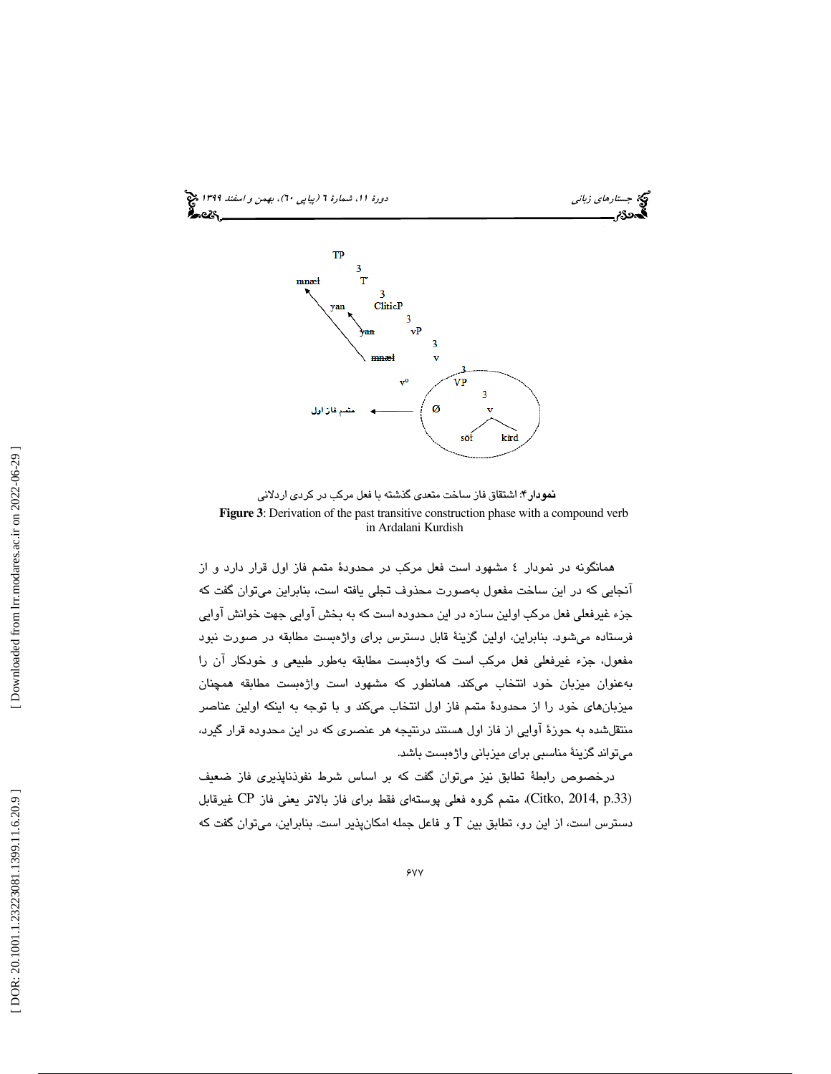

نمودار 4: اشتقاق فاز ساخت متعدي گذشته با فعل مركب در كردي اردلاني **Figure 3**: Derivation of the past transitive construction phase with a compound verb in Ardalani Kurdish

همانگونه در نمودار 4 مشهود است فعل مركب در محدودة متمم فاز اول قرار دارد و از آنجايي كه در اين ساخت مفعول بهصورت محذوف تجلي يافته است، بنابراين ميتوان گفت كه جزء غيرفعلي فعل مركب اولين سازه در اين محدوده است كه به بخش آوايي جهت خوانش آوايي فرستاده ميشود. بنابراين، اولين گزينة قابل دسترس براي واژهبست مطابقه در صورت نبود مفعول، جزء غيرفعلي فعل مركب است كه واژهبست مطابقه بهطور طبيعي و خودكار آن را بهعنوان ميزبان خود انتخاب ميكند. همانطور كه مشهود است واژهبست مطابقه همچنان ميزبانهاي خود را از محدودة متمم فاز اول انتخاب ميكند و با توجه به اينكه اولين عناصر منتقلشده به حوزة آوايي از فاز اول هستند درنتيجه هر عنصري كه در اين محدوده قرار گيرد، ميتواند گزينة مناسبي براي ميزباني واژهبست باشد.

درخصوص رابطة تطابق نيز ميتوان گفت كه بر اساس شرط نفوذناپذيري فاز ضعيف (.33p 2014, ,Citko(، متمم گروه فعلي پوستهاي فقط براي فاز بالاتر يعني فاز CP غيرقابل دسترس است، از اين رو، تطابق بين T و فاعل جمله امكانپذير است. بنابراين، ميتوان گفت كه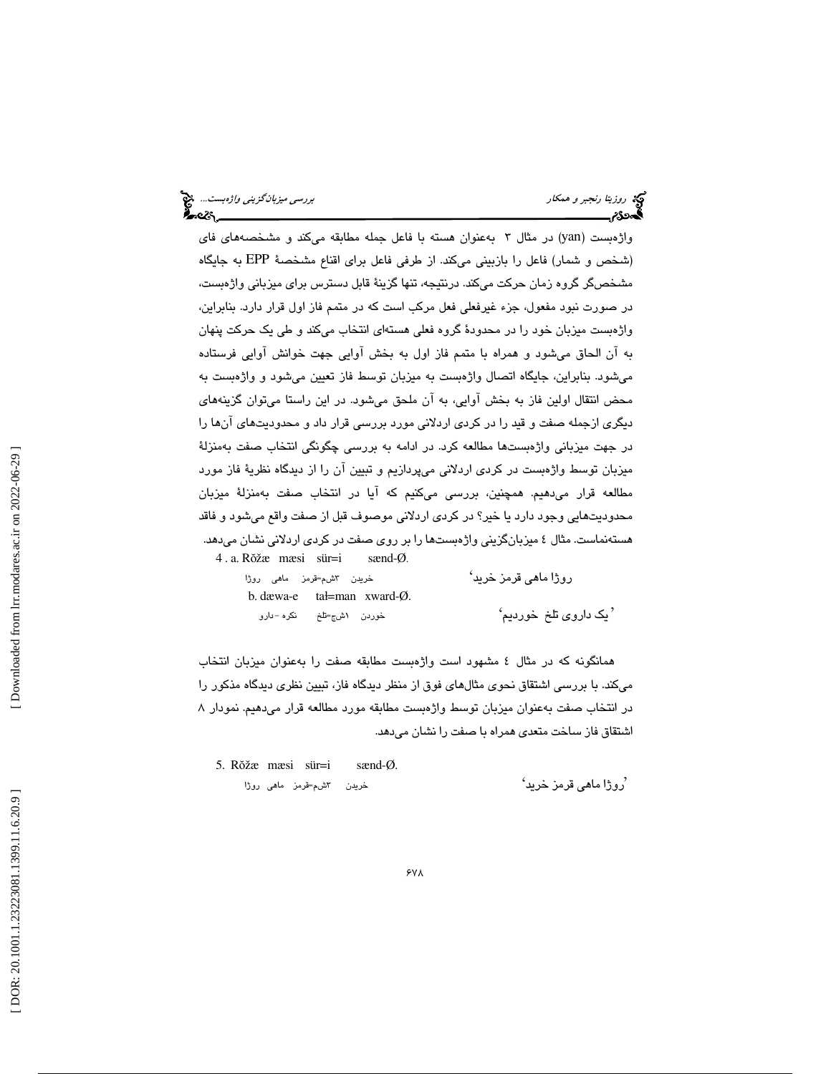واژهبست (yan) در مثال ۳ بهعنوان هسته با فاعل جمله مطابقه ميكند و مشخصههاي فاي (شخص و شمار) فاعل را بازبيني ميكند. از طرفي فاعل براي اقناع مشخصة EPP به جايگاه مشخصگر گروه زمان حركت ميكند. درنتيجه، تنها گزينة قابل دسترس براي ميزباني واژهبست، در صورت نبود مفعول، جزء غيرفعلي فعل مركب است كه در متمم فاز اول قرار دارد. بنابراين، واژهبست ميزبان خود را در محدودة گروه فعلي هستهاي انتخاب ميكند و طي يك حركت پنهان به آن الحاق ميشود و همراه با متمم فاز اول به بخش آوايي جهت خوانش آوايي فرستاده ميشود. بنابراين، جايگاه اتصال واژهبست به ميزبان توسط فاز تعيين ميشود و واژهبست به محض انتقال اولين فاز به بخش آوايي، به آن ملحق ميشود. در اين راستا ميتوان گزينههاي ديگري ازجمله صفت و قيد را در كردي اردلاني مورد بررسي قرار داد و محدوديتهاي آنها را در جهت ميزباني واژهبستها مطالعه كرد. در ادامه به بررسي چگونگي انتخاب صفت بهمنزلة ميزبان توسط واژهبست در كردي اردلاني ميپردازيم و تبيين آن را از ديدگاه نظرية فاز مورد مطالعه قرار ميدهيم. همچنين، بررسي ميكنيم كه آيا در انتخاب صفت بهمنزلة ميزبان محدوديتهايي وجود دارد يا خير؟ در كردي اردلاني موصوف قبل از صفت واقع ميشود و فاقد هستهنماست. مثال 4 ميزبانگزيني واژهبستها را بر روي صفت در كردي اردلاني نشان ميدهد. 4 . a. R ŏžæ mæsi sür=i sænd-Ø.

| خریدن ۳شم=قرمز ما <i>هی</i> روژا | روڑا ماھی قرمز خرید'    |
|----------------------------------|-------------------------|
| b. dawa-e $tal=man$ xward- $Q$ . |                         |
| خوردن اشج=تلخ نکره−دارو          | ' یک داروی تلخ  خوردیم' |

همانگونه كه در مثال 4 مشهود است واژهبست مطابقه صفت را بهعنوان ميزبان انتخاب ميكند. با بررسي اشتقاق نحوي مثالهاي فوق از منظر ديدگاه فاز، تبيين نظري ديدگاه مذكور را در انتخاب صفت بهعنوان ميزبان توسط واژهبست مطابقه مورد مطالعه قرار ميدهيم. نمودار 8 اشتقاق فاز ساخت متعدي همراه با صفت را نشان ميدهد.

5. R ŏžæ mæsi sür=i sænd-Ø. خريدن ۳شم=قرمز ما*ه*ي روژا روژا ماهي قرمز خريد' '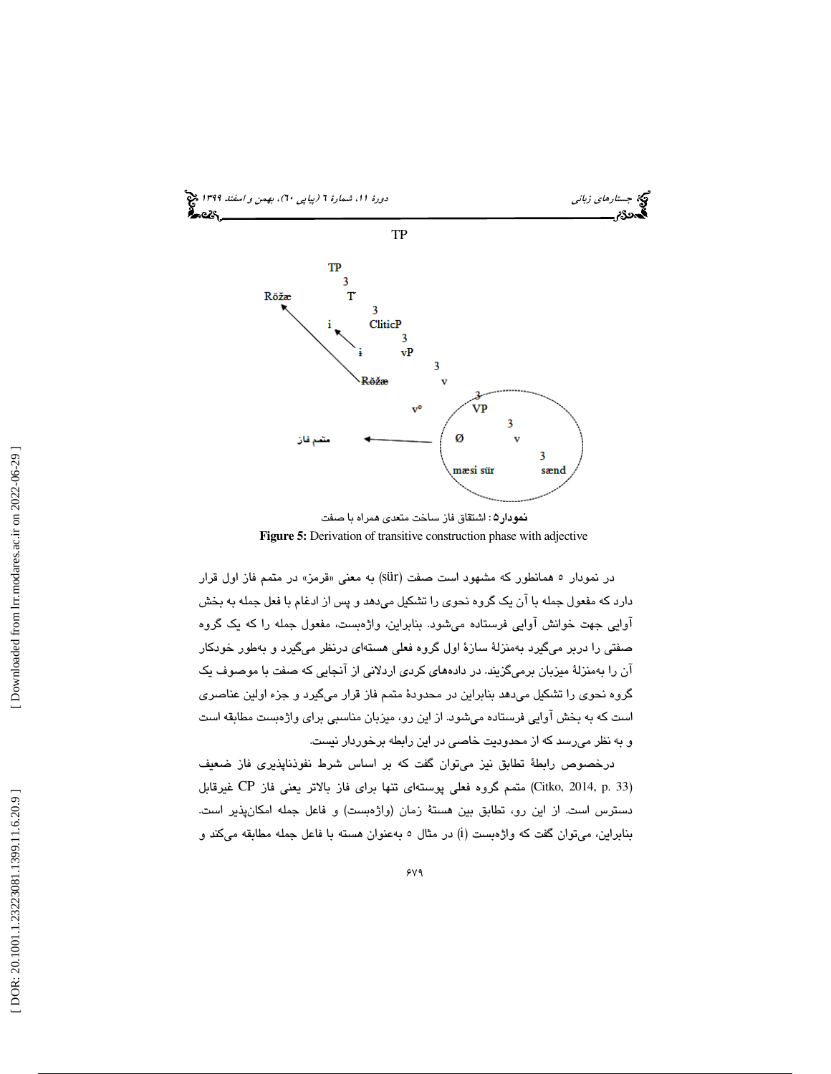



در نمودار ٥ همانطور كه مشهود است صفت (sür) به معنى «قرمز» در متمم فاز اول قرار دارد كه مفعول جمله با آن يك گروه نحوي را تشكيل ميدهد و پس از ادغام با فعل جمله به بخش آوايي جهت خوانش آوايي فرستاده ميشود. بنابراين، واژهبست، مفعول جمله را كه يك گروه صفتي را دربر ميگيرد بهمنزلة سازة اول گروه فعلي هستهاي درنظر ميگيرد و بهطور خودكار آن را بهمنزلة ميزبان برميگزيند. در دادههاي كردي اردلاني از آنجايي كه صفت با موصوف يك گروه نحوي را تشكيل ميدهد بنابراين در محدودة متمم فاز قرار ميگيرد و جزء اولين عناصري است كه به بخش آوايي فرستاده ميشود. از اين رو، ميزبان مناسبي براي واژهبست مطابقه است و به نظر ميرسد كه از محدوديت خاصي در اين رابطه برخوردار نيست.

درخصوص رابطة تطابق نيز ميتوان گفت كه بر اساس شرط نفوذناپذيري فاز ضعيف (Citko, 2014, p. 33) متمم گروه فعلي پوستهاي تنها براي فاز بالاتر يعني فاز CP غيرقابل دسترس است. از اين رو، تطابق بين هستة زمان (واژهبست) و فاعل جمله امكانپذير است. بنابراین، میتوان گفت كه واژهبست (i) در مثال ٥ بهعنوان هسته با فاعل جمله مطابقه میكند و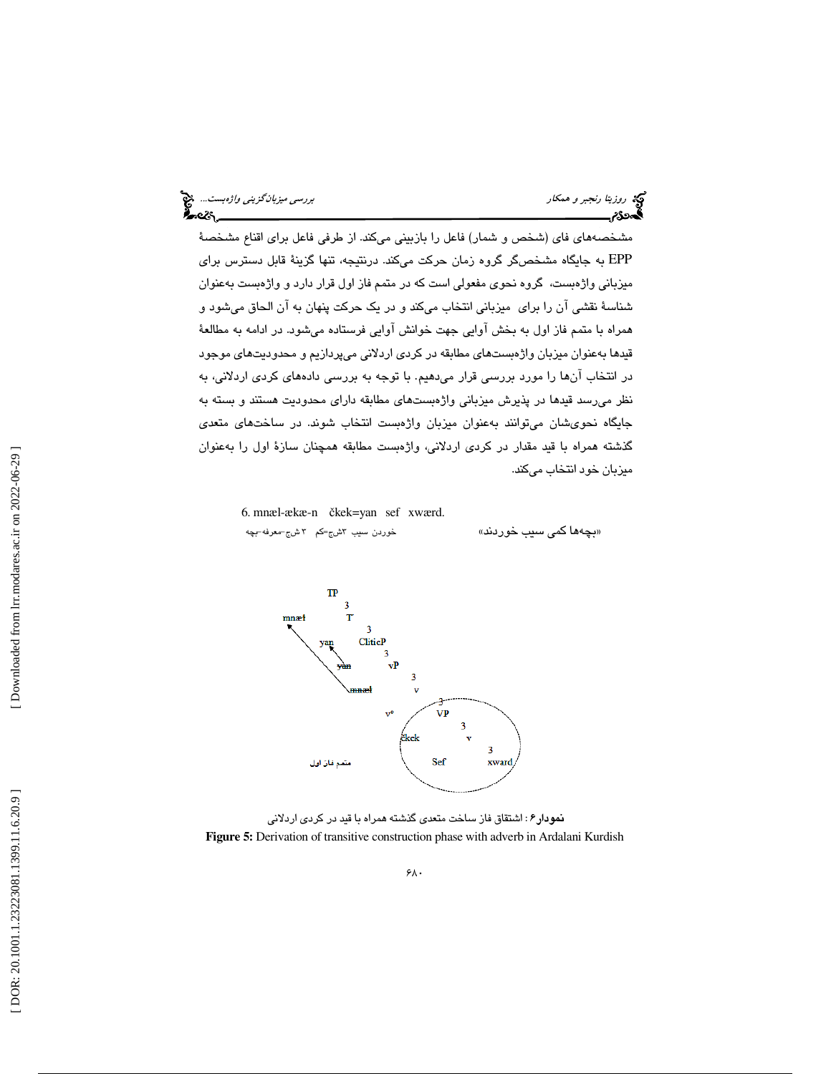مشخصههاي فاي (شخص و شمار) فاعل را بازبيني ميكند. از طرفي فاعل براي اقناع مشخصة EPP به جايگاه مشخصگر گروه زمان حركت ميكند. درنتيجه، تنها گزينة قابل دسترس براي ميزباني واژهبست، گروه نحوي مفعولي است كه در متمم فاز اول قرار دارد و واژهبست بهعنوان شناسة نقشي آن را براي ميزباني انتخاب ميكند و در يك حركت پنهان به آن الحاق ميشود و همراه با متمم فاز اول به بخش آوايي جهت خوانش آوايي فرستاده ميشود. در ادامه به مطالعة قيدها بهعنوان ميزبان واژهبستهاي مطابقه در كردي اردلاني ميپردازيم و محدوديتهاي موجود در انتخاب آنها را مورد بررسی قرار میدهیم. با توجه به بررسی دادههای کردی اردلانی، به نظر ميرسد قيدها در پذيرش ميزباني واژهبستهاي مطابقه داراي محدوديت هستند و بسته به جايگاه نحويشان ميتوانند بهعنوان ميزبان واژهبست انتخاب شوند. در ساختهاي متعدي گذشته همراه با قيد مقدار در كردي اردلاني، واژهبست مطابقه همچنان سازة اول را بهعنوان ميزبان خود انتخاب ميكند.

 6. mnæl-ækæ-n čkek=yan sef xwærd. خوردن سيب ٽاشج=كم ٣ شج−معرفه-بچه

«بچهها كم*ى* سيب خوردند»



**نمودار ۶**: اشتقاق فاز ساخت متع*دی* گذشته همراه با قید در کرد*ی* اردلانی **Figure 5:** Derivation of transitive construction phase with adverb in Ardalani Kurdish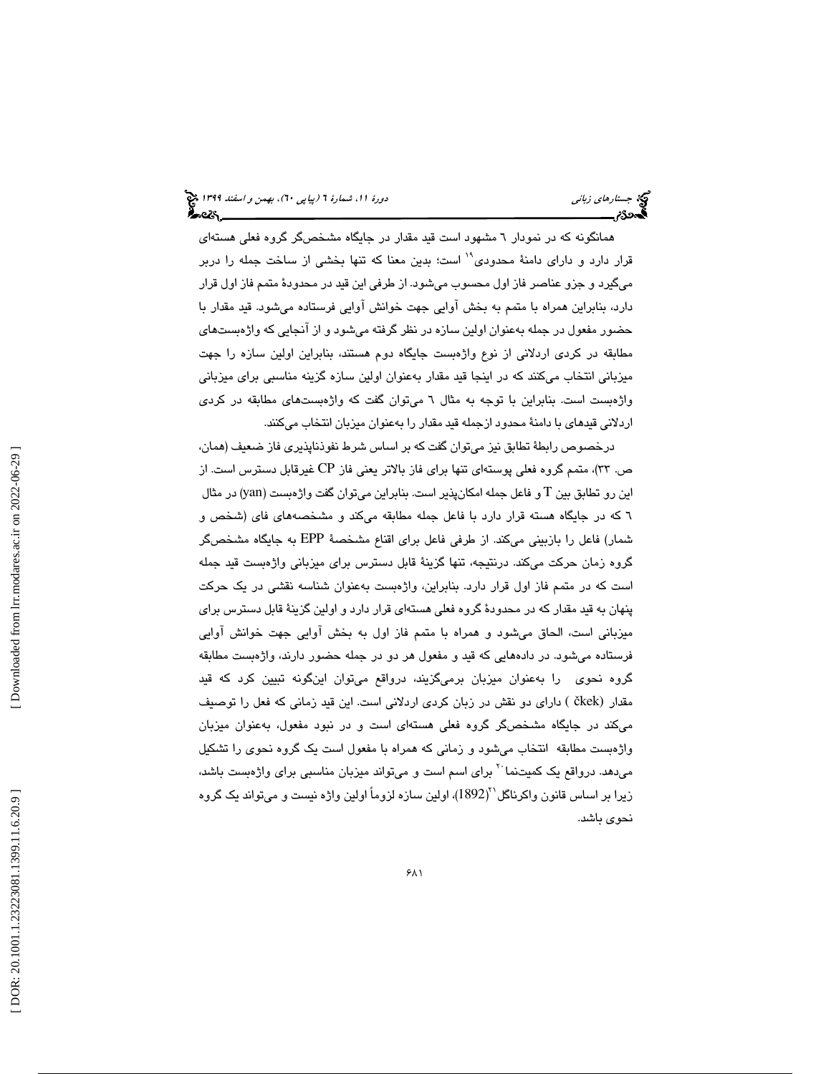همانگونه كه در نمودار 6 مشهود است قيد مقدار در جايگاه مشخصگر گروه فعلي هستهاي قرار دارد و دارای دامنهٔ محدودی<sup>۱۹</sup> است؛ بدین معنا که تنها بخشی از ساخت جمله را دربر ميگيرد و جزو عناصر فاز اول محسوب ميشود. از طرفي اين قيد در محدودة متمم فاز اول قرار دارد، بنابراين همراه با متمم به بخش آوايي جهت خوانش آوايي فرستاده ميشود. قيد مقدار با حضور مفعول در جمله بهعنوان اولين سازه در نظر گرفته ميشود و از آنجايي كه واژهبستهاي مطابقه در كردي اردلاني از نوع واژهبست جايگاه دوم هستند، بنابراين اولين سازه را جهت ميزباني انتخاب ميكنند كه در اينجا قيد مقدار بهعنوان اولين سازه گزينه مناسبي براي ميزباني واژهبست است. بنابراين با توجه به مثال 6 ميتوان گفت كه واژهبستهاي مطابقه در كردي اردلاني قيدهاي با دامنة محدود ازجمله قيد مقدار را بهعنوان ميزبان انتخاب ميكنند.

درخصوص رابطة تطابق نيز ميتوان گفت كه بر اساس شرط نفوذناپذيري فاز ضعيف (همان، ص. 33)، متمم گروه فعلي پوستهاي تنها براي فاز بالاتر يعني فاز CP غيرقابل دسترس است. از اين رو تطابق بين T و فاعل جمله امكان،پذير است. بنابراين ميتوان گفت واژهبست (yan) در مثال كه در جايگاه هسته قرار دارد با فاعل جمله مطابقه ميكند و مشخصههاي فاي (شخص و 6 شمار) فاعل را بازبيني ميكند. از طرفي فاعل براي اقناع مشخصة EPP به جايگاه مشخصگر گروه زمان حركت ميكند. درنتيجه، تنها گزينة قابل دسترس براي ميزباني واژهبست قيد جمله است كه در متمم فاز اول قرار دارد. بنابراين، واژهبست بهعنوان شناسه نقشي در يك حركت پنهان به قید مقدار كه در محدودهٔ گروه فعلی هستهای قرار دارد و اولین گزینهٔ قابل دسترس برای ميزباني است، الحاق ميشود و همراه با متمم فاز اول به بخش آوايي جهت خوانش آوايي فرستاده ميشود. در دادههايي كه قيد و مفعول هر دو در جمله حضور دارند، واژهبست مطابقه گروه نحوي را بهعنوان ميزبان برميگزيند، درواقع ميتوان اينگونه تبيين كرد كه قيد مقدار (čkek ) داراي دو نقش در زبان كردي اردلاني است. اين قيد زماني كه فعل را توصيف ميكند در جايگاه مشخصگر گروه فعلي هستهاي است و در نبود مفعول، بهعنوان ميزبان واژهبست مطابقه انتخاب ميشود و زماني كه همراه با مفعول است يك گروه نحوي را تشكيل میدهد. درواقع یک کمیتنما<sup>۲۰</sup> برای اسم است و میتواند میزبان مناسبی برای واژهبست باشد، زيرا بر اساس قانون واكرناگل``(1892)، اولين سازه لزوماً اولين واژه نيست و ميتواند يک گروه نحوي باشد.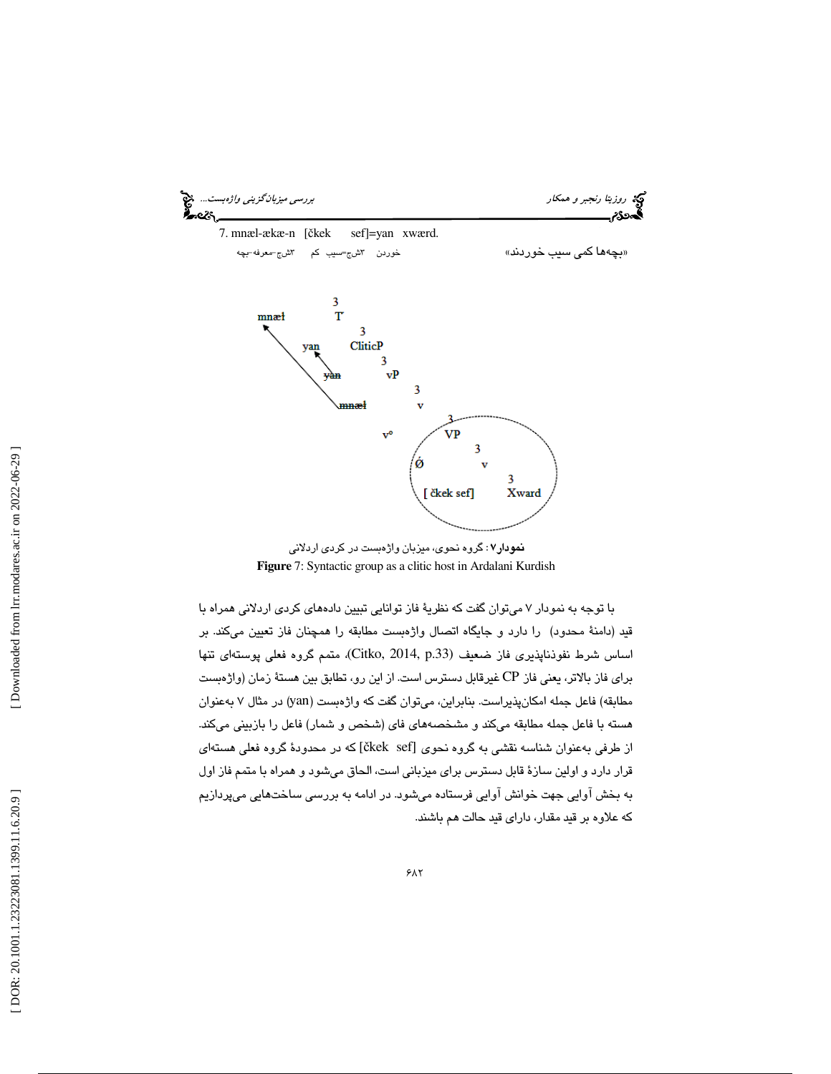

نمودار : 7 گروه نحوي، ميزبان واژهبست در كردي اردلاني **Figure** 7: Syntactic group as a clitic host in Ardalani Kurdish

با توجه به نمودار 7 ميتوان گفت كه نظرية فاز توانايي تبيين دادههاي كردي اردلاني همراه با قيد (دامنة محدود) را دارد و جايگاه اتصال واژهبست مطابقه را همچنان فاز تعيين ميكند. بر اساس شرط نفوذناپذيري فاز ضعيف (Citko, 2014, p.33)، متمم گروه فعلي پوستهاي تنها براي فاز بالاتر، يعني فاز CP غيرقابل دسترس است. از اين رو، تطابق بين هستة زمان (واژهبست مطابقه) فاعل جمله امکانپذیراست. بنابراین، میتوان گفت که واژهبست (yan) در مثال ۷ بهعنوان هسته با فاعل جمله مطابقه ميكند و مشخصههاي فاي (شخص و شمار) فاعل را بازبيني ميكند. از طرفي بهعنوان شناسه نقشي به گروه نحوي [čkek sef] كه در محدودهٔ گروه فعلي هستهاي قرار دارد و اولين سازة قابل دسترس براي ميزباني است، الحاق ميشود و همراه با متمم فاز اول به بخش آوايي جهت خوانش آوايي فرستاده ميشود. در ادامه به بررسي ساختهايي ميپردازيم كه علاوه بر قيد مقدار، داراي قيد حالت هم باشند.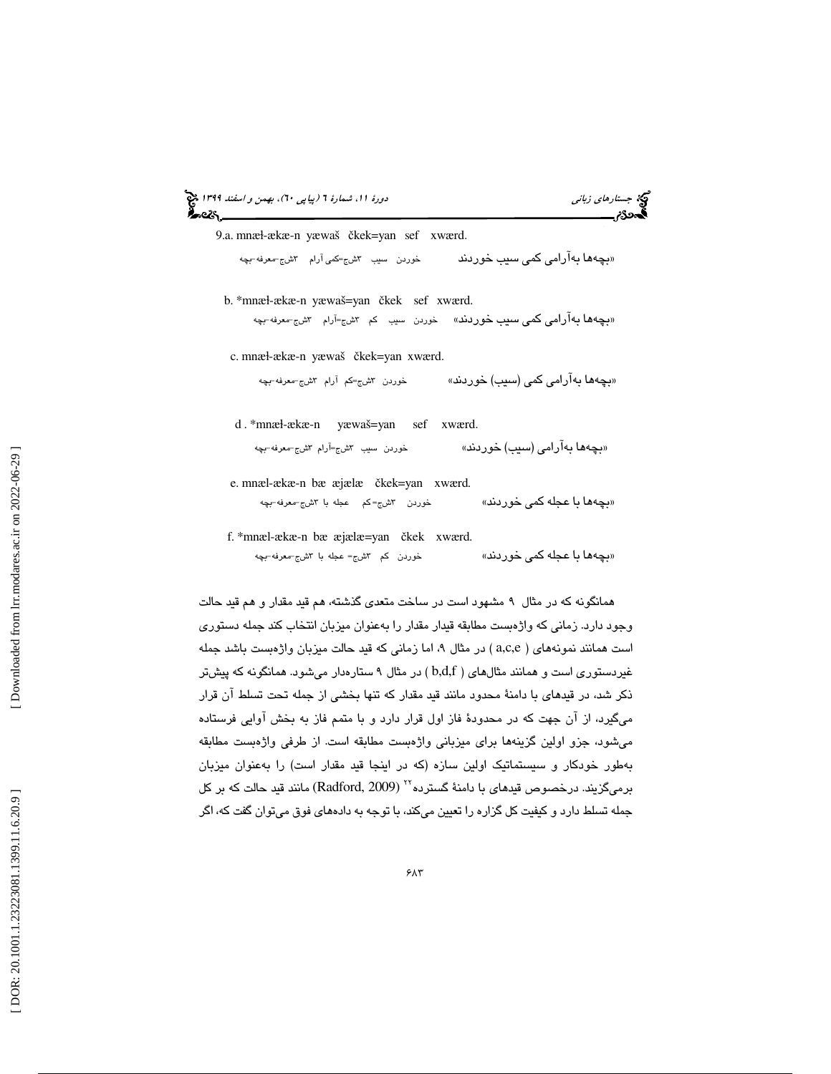|  | دورهٔ ۱۱، شمارهٔ ۲ (پیاپی ۲۰)، بهمن و <i>اسفند ۱۳۹۹</i> پنج<br><b>گیردگ</b> |  |  |  |
|--|-----------------------------------------------------------------------------|--|--|--|
|  |                                                                             |  |  |  |

جستارهاي زباني دورة ،11 شمارة 6

9.a. mnæ ɫ-ækæ-n yæwaš čkek=yan sef xwærd.

ج=كمي آرام گڻشج-معرفه-بچه «بچەھا بەآرامى كمى سىب خوردند خوردن سيب ۳ش

 b. \*mnæ ɫ-ækæ-n yæwaš=yan čkek sef xwærd. «بچهها بهآرامی كمی سیب خوردند» خوردن سیب كم ۳شج=آرام ۳شج-معرفه-بچه

c. mnæ ɫ-ækæ-n yæwaš čkek=yan xwærd.

شج=كم آرام ٣شج−معرفه-بچه «**بچهها بهآرامی کمی (سیب) خوردند**» خوردن ۳

d . \*mnæ ɫ-ækæ-n yæwaš=yan sef xwærd.

شج=آرام ٣شج-معرفه-بچه «بچه**ها ب**ه**آرامی (سیب) خوردند» خوردن سیب ۳** 

 e. mnæl-ækæ-n bæ æjælæ čkek=yan xwærd. شج=كم عجله با ٣شج-معرفه-بچه بچهها با عجله كمي خوردند» خوردن 3 »

 f. \*mnæl-ækæ-n bæ æjælæ=yan čkek xwærd. شج= عجله با ٣شج-معرفه-بچه «**بچهها با عجله كمى خوردند**» خوردن کم ۳

همانگونه كه در مثال ۹ مشهود است در ساخت متعدي گذشته، هم قيد مقدار و هم قيد حالت وجود دارد. زماني كه واژهبست مطابقه قيدار مقدار را بهعنوان ميزبان انتخاب كند جمله دستوري است همانند نمونههای ( a,c,e ) در مثال ۹، اما زمانی كه قید حالت میزبان واژهبست باشد جمله غیردستوری است و همانند مثالهای ( b,d,f) در مثال ۹ ستارهدار میشود. همانگونه که پیشتر ذكر شد، در قيدهاي با دامنة محدود مانند قيد مقدار كه تنها بخشي از جمله تحت تسلط آن قرار ميگيرد، از آن جهت كه در محدودة فاز اول قرار دارد و با متمم فاز به بخش آوايي فرستاده ميشود، جزو اولين گزينهها براي ميزباني واژهبست مطابقه است. از طرفي واژهبست مطابقه بهطور خودكار و سيستماتيك اولين سازه (كه در اينجا قيد مقدار است) را بهعنوان ميزبان برمیگزیند. درخصوص قیدهای با دامنهٔ گسترده<sup>۲۲</sup> (Radford, 2009) مانند قید حالت که بر کل جمله تسلط دارد و كيفيت كل گزاره را تعيين ميكند، با توجه به دادههاي فوق ميتوان گفت كه، اگر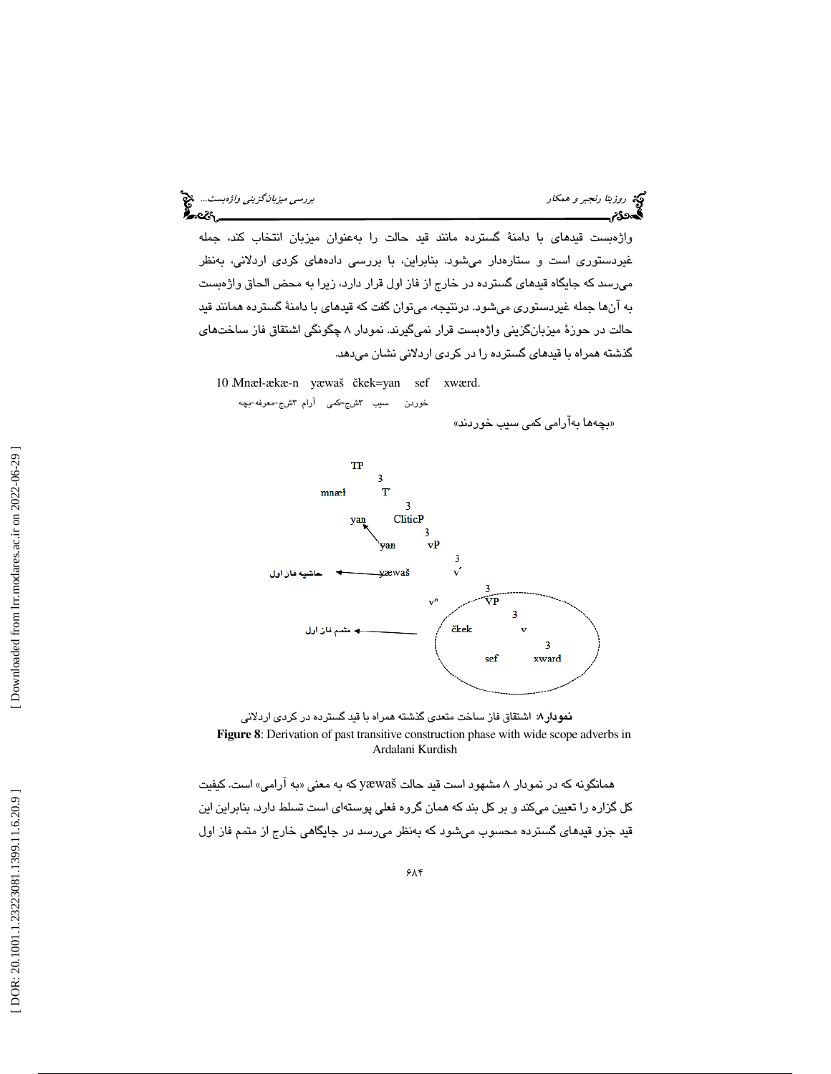واژهبست قيدهاي با دامنة گسترده مانند قيد حالت را بهعنوان ميزبان انتخاب كند، جمله غيردستوري است و ستارهدار ميشود. بنابراين، با بررسي دادههاي كردي اردلاني، بهنظر ميرسد كه جايگاه قيدهاي گسترده در خارج از فاز اول قرار دارد، زيرا به محض الحاق واژهبست به آنها جمله غيردستوري ميشود. درنتيجه، ميتوان گفت كه قيدهاي با دامنة گسترده همانند قيد حالت در حوزة ميزبانگزيني واژهبست قرار نميگيرند. نمودار 8 چگونگي اشتقاق فاز ساختهاي گذشته همراه با قيدهاي گسترده را در كردي اردلاني نشان ميدهد.

10 Mnæl-ækæ-n yæwaš čkek=yan sef xwærd. خوردن سيب اڻشج=کمي آرام اڻشج–معرفه–بچه

بچهها بهآرامي كمي سيب خوردند» »





به آرامي» است. كيفيت همانگونه كه در نمودار 8 مشهود است قيد حالت yæwaš كه به معني « كل گزاره را تعيين ميكند و بر كل بند كه همان گروه فعلي پوستهاي است تسلط دارد. بنابراين اين قيد جزو قيدهاي گسترده محسوب ميشود كه بهنظر ميرسد در جايگاهي خارج از متمم فاز اول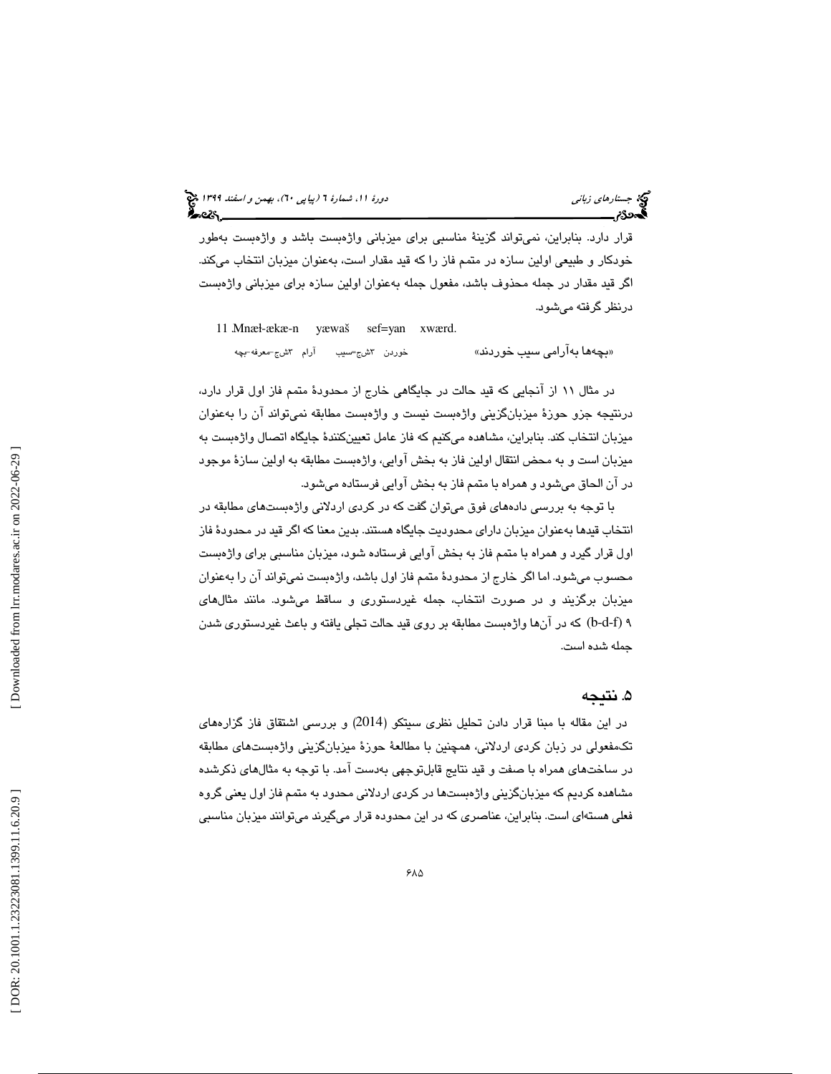# جستاره*اي زباني (بياپي 60)، بهمن و اسفند 1*394 فرانس به 130 دورة ا $\mu$  شمارة 1 (پياپي 61)، بهم*ن و اسفند 1*34 فر

قرار دارد. بنابراين، نميتواند گزينة مناسبي براي ميزباني واژهبست باشد و واژهبست بهطور خودكار و طبيعي اولين سازه در متمم فاز را كه قيد مقدار است، بهعنوان ميزبان انتخاب ميكند. اگر قيد مقدار در جمله محذوف باشد، مفعول جمله بهعنوان اولين سازه براي ميزباني واژهبست درنظر گرفته ميشود.

11 Mnæl-ækæ-n yæwaš sef=yan xwærd. شج=سيب آرام ٣شج=معرفه-بچه «بچەھا بەآرامى سىب خوردند» خوردن ۳

در مثال 11 از آنجايي كه قيد حالت در جايگاهي خارج از محدودة متمم فاز اول قرار دارد، درنتيجه جزو حوزة ميزبانگزيني واژهبست نيست و واژهبست مطابقه نميتواند آن را بهعنوان ميزبان انتخاب كند. بنابراين، مشاهده ميكنيم كه فاز عامل تعيينكنندة جايگاه اتصال واژهبست به ميزبان است و به محض انتقال اولين فاز به بخش آوايي، واژهبست مطابقه به اولين سازة موجود در آن الحاق ميشود و همراه با متمم فاز به بخش آوايي فرستاده ميشود.

با توجه به بررسي دادههاي فوق ميتوان گفت كه در كردي اردلاني واژهبستهاي مطابقه در انتخاب قيدها بهعنوان ميزبان داراي محدوديت جايگاه هستند. بدين معنا كه اگر قيد در محدودة فاز اول قرار گيرد و همراه با متمم فاز به بخش آوايي فرستاده شود، ميزبان مناسبي براي واژهبست محسوب ميشود. اما اگر خارج از محدودة متمم فاز اول باشد، واژهبست نميتواند آن را بهعنوان ميزبان برگزيند و در صورت انتخاب، جمله غيردستوري و ساقط ميشود. مانند مثالهاي 9 (f-d-b (كه در آنها واژهبست مطابقه بر روي قيد حالت تجلي يافته و باعث غيردستوري شدن جمله شده است.

#### 5. نتيجه

 در اين مقاله با مبنا قرار دادن تحليل نظري سيتكو (2014) و بررسي اشتقاق فاز گزارههاي تكمفعولي در زبان كردي اردلاني، همچنين با مطالعة حوزة ميزبانگزيني واژهبستهاي مطابقه در ساختهاي همراه با صفت و قيد نتايج قابلتوجهي بهدست آمد. با توجه به مثالهاي ذكرشده مشاهده كرديم كه ميزبانگزيني واژهبستها در كردي اردلاني محدود به متمم فاز اول يعني گروه فعلي هستهاي است. بنابراين، عناصري كه در اين محدوده قرار ميگيرند ميتوانند ميزبان مناسبي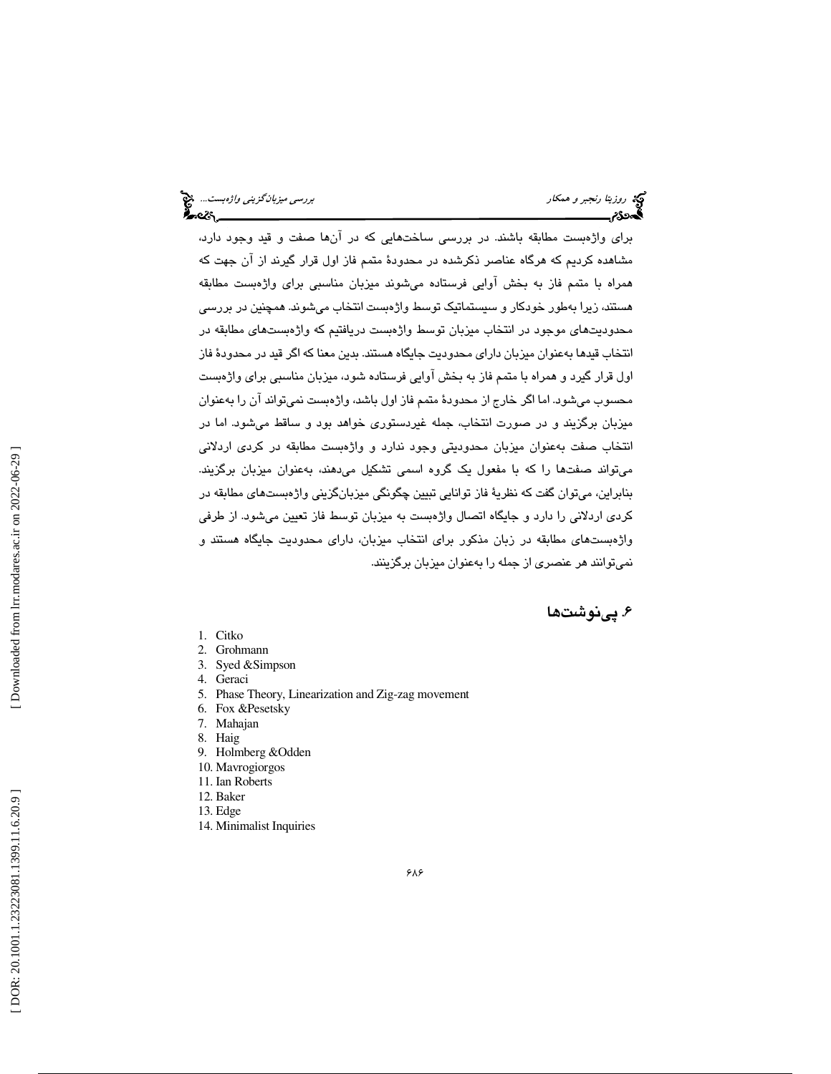براي واژهبست مطابقه باشند. در بررسي ساختهايي كه در آنها صفت و قيد وجود دارد، مشاهده كرديم كه هرگاه عناصر ذكرشده در محدودة متمم فاز اول قرار گيرند از آن جهت كه همراه با متمم فاز به بخش آوايي فرستاده ميشوند ميزبان مناسبي براي واژهبست مطابقه هستند، زيرا بهطور خودكار و سيستماتيك توسط واژهبست انتخاب ميشوند. همچنين در بررسي محدوديتهاي موجود در انتخاب ميزبان توسط واژهبست دريافتيم كه واژهبستهاي مطابقه در انتخاب قيدها بهعنوان ميزبان داراي محدوديت جايگاه هستند. بدين معنا كه اگر قيد در محدودة فاز اول قرار گيرد و همراه با متمم فاز به بخش آوايي فرستاده شود، ميزبان مناسبي براي واژهبست محسوب ميشود. اما اگر خارج از محدودة متمم فاز اول باشد، واژهبست نميتواند آن را بهعنوان میزبان برگزیند و در صورت انتخاب، جمله غیردستوری خواهد بود و ساقط میشود. اما در انتخاب صفت به عنوان ميزبان محدوديتي وجود ندارد و واژهبست مطابقه در كردي اردلاني ميتواند صفتها را كه با مفعول يك گروه اسمي تشكيل ميدهند، بهعنوان ميزبان برگزيند. بنابراين، ميتوان گفت كه نظرية فاز توانايي تبيين چگونگي ميزبانگزيني واژهبستهاي مطابقه در كردي اردلاني را دارد و جايگاه اتصال واژهبست به ميزبان توسط فاز تعيين ميشود. از طرفي واژهبستهاي مطابقه در زبان مذكور براي انتخاب ميزبان، داراي محدوديت جايگاه هستند و نميتوانند هر عنصري از جمله را بهعنوان ميزبان برگزينند.

#### 6. پينوشت ها

- 1. Citko
- 2. Grohmann
- 3. Syed &Simpson
- 4. Geraci
- 5. Phase Theory, Linearization and Zig-zag movement
- 6. Fox &Pesetsky
- 7. Mahajan
- 8. Haig
- 9. Holmberg &Odden
- 10. Mavrogiorgos
- 11. Ian Roberts
- 12. Baker
- 13. Edge
- 14. Minimalist Inquiries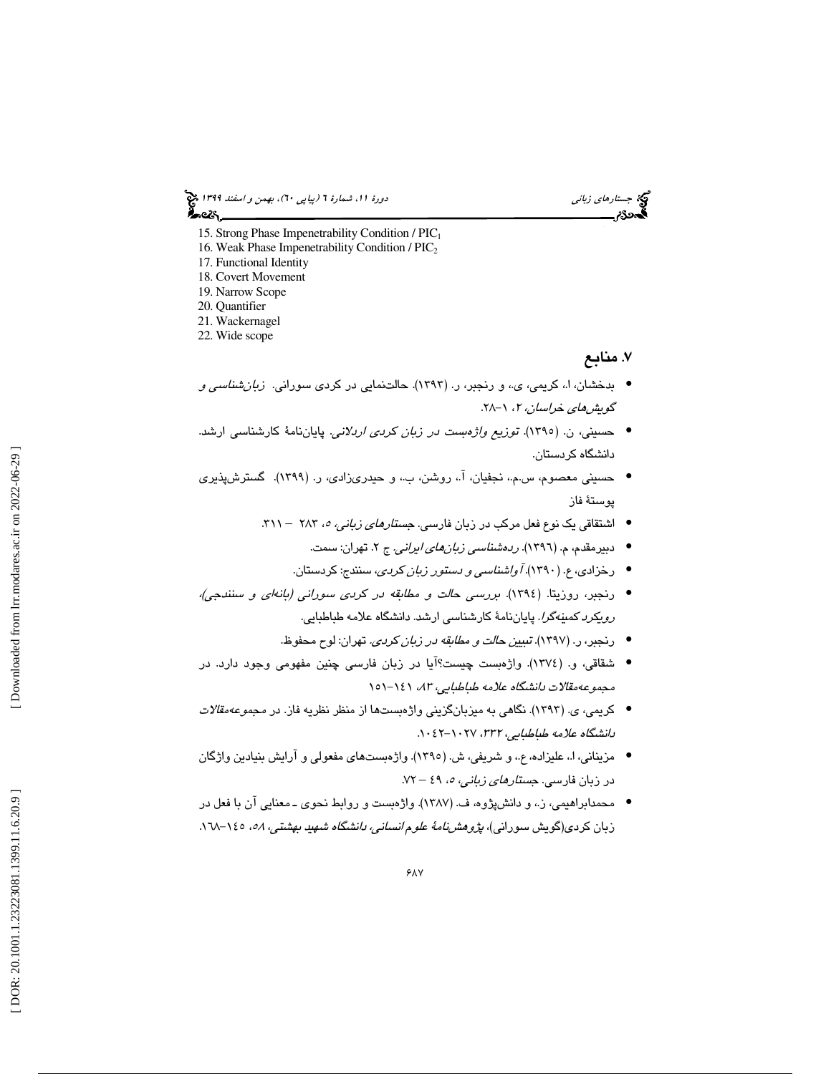جستاره*اي زباني (بياپي 60)، بهمن و اسفند 1*394 فرانس به 130 دورة ا $\mu$  شمارة 1 (پياپي 61)، بهم*ن و اسفند 1*34 فر ಹಿಂದಿ

- 15. Strong Phase Impenetrability Condition / PIC<sup>1</sup>
- 16. Weak Phase Impenetrability Condition /  $\text{PIC}_2$
- 17. Functional Identity
- 18. Covert Movement
- 19. Narrow Scope
- 20. Quantifier
- 21. Wackernagel
- 22. Wide scope

#### ۷. منابع

- بدخشان، ا،. كريمي، ي،. و رنجبر، ر. (1393). حالتنمايي در كردي سوراني. زبانشناسي و گوي*شهاي خراسان، ۲*، ۱–۲۸.
- حسيني، ن. (1395). توزيع واژهبست در زبان كردي اردلاني. پاياننامة كارشناسي ارشد. دانشگاه كردستان.
- حسيني معصوم، س.م،. نجفيان، آ،. روشن، ب،. و حيدريزادي، ر. (1399). گسترشپذيري پوستة فاز
	- اشتقاقی یک نوع فعل مرکب در زبان فارسی. ج*ستارهای زبانی، ٥، ۲*۸۳ ۳۱۱.
		- دبیرمقدم، م. (١٣٩٦). *ردهشناسی زبانهای ایرانی.* ج ۲. تهران: سمت.
		- رخزادي، ع. (1390). آواشناسي و دستور زبان كردي، سنندج: كردستان. •
- رنجبر، روزيتا. (1394). بررسي حالت و مطابقه در كردي سوراني (بانهاي و سنندجي)، رويكرد كمينهگرا. پاياننامة كارشناسي ارشد. دانشگاه علامه طباطبايي.
	- رنجبر، ر. (1397). تبيين حالت و مطابقه در زبان كردي. تهران: لوح محفوظ. •
- شقاقي، و. (1374). واژهبست چيست؟آيا در زبان فارسي چنين مفهومي وجود دارد. در مجموعهمقالات دانشگاه علامه طباطبايي، ۸۳، ۱٤۱-۱۵۱
- كريمي، ي. (1393). نگاهي به ميزبانگزيني واژهبستها از منظر نظريه فاز. در مجموعهمقالات دانشگاه علامه طباطبايي، 332 ، -1027 1042 .
- مزيناني، ا،. عليزاده، ع،. و شريفي، ش. (1395). واژهبستهاي مفعولي و آرايش بنيادين واژگان در زبان فارسی. ج*ستارهای زبانی، ٥،* ٤٩ – ۷۲.
- محمدابراهيمي، ز.، و دانشپژوه، ف. (١٣٨٧). واژهبست و روابط نحوي ـ معنايي آن با فعل در زبان كردى(گويش سورانى)، *پژوهشنامهٔ علوم انسانى، دانشگاه شهيد بهشتى، ٥٨*، ١٤٥–١٦٨.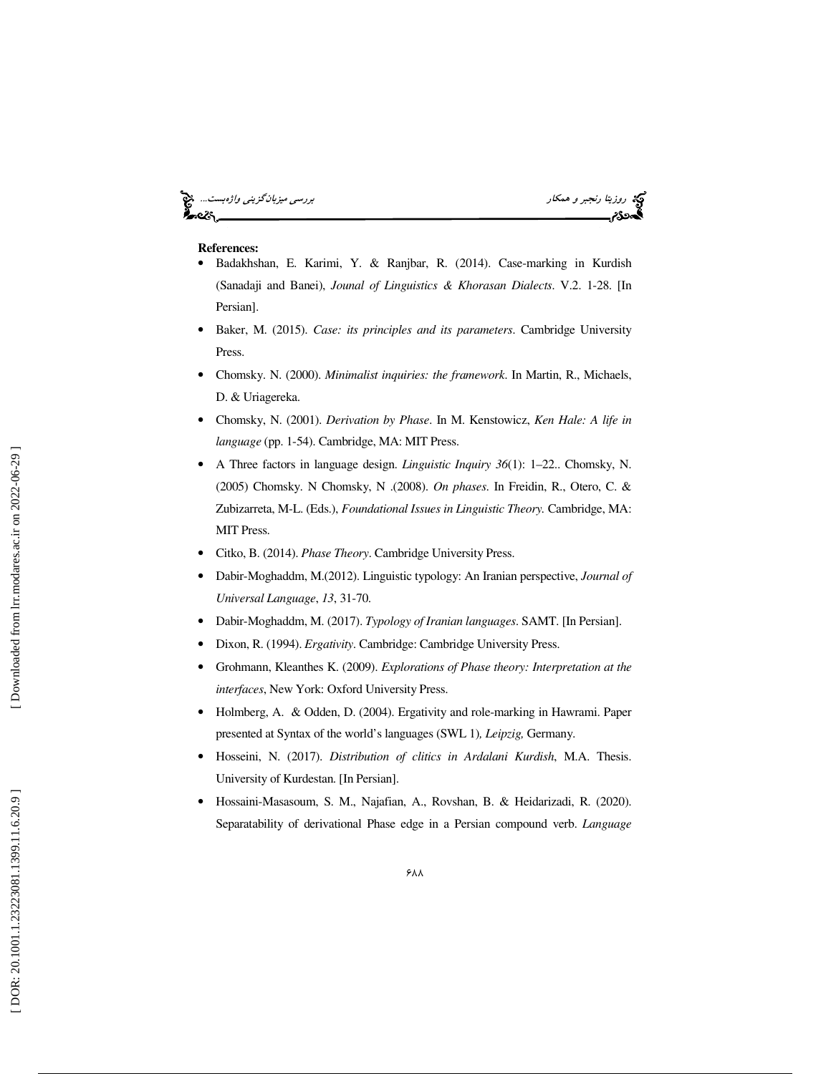#### روس*ي ميزبانگزيني واژهبست..*.. پيچ آي بررس*ي ميزبانگزيني واژهبست..*. پيچ آي بررسي ميزبا*نگزيني واژهبست..*. پيچ آي<br>**اگست 26:** بررسي ميكار بررسي ميزبان بررسي ميزبانگزيني واژه بررسي ميزبانگزيني واژه بررسي ميزبانگزيني واژه بر ۰e2s

- **References:** Badakhshan, E. Karimi, Y. & Ranjbar, R. (2014). Case-marking in Kurdish (Sanadaji and Banei), *Jounal of Linguistics & Khorasan Dialects*. V.2. 1-28. [In Persian].
- Baker, M. (2015). *Case: its principles and its parameters*. Cambridge University Press.
- Chomsky. N. (2000). *Minimalist inquiries: the framework*. In Martin, R., Michaels, D. & Uriagereka.
- Chomsky, N. (2001). *Derivation by Phase*. In M. Kenstowicz, *Ken Hale: A life in language* (pp. 1-54). Cambridge, MA: MIT Press.
- A Three factors in language design. *Linguistic Inquiry 36*(1): 1–22.. Chomsky, N. (2005) Chomsky. N Chomsky, N .(2008). *On phases*. In Freidin, R., Otero, C. & Zubizarreta, M-L. (Eds.), *Foundational Issues in Linguistic Theory.* Cambridge, MA: MIT Press.
- Citko, B. (2014). *Phase Theory*. Cambridge University Press.
- Dabir-Moghaddm, M.(2012). Linguistic typology: An Iranian perspective, *Journal of Universal Language* , *13*, 31-70.
- Dabir-Moghaddm, M. (2017). *Typology of Iranian languages*. SAMT. [In Persian].
- Dixon, R. (1994). *Ergativity*. Cambridge: Cambridge University Press.
- Grohmann, Kleanthes K. (2009). *Explorations of Phase theory: Interpretation at the interfaces*, New York: Oxford University Press.
- Holmberg, A. & Odden, D. (2004). Ergativity and role-marking in Hawrami. Paper presented at Syntax of the world's languages (SWL 1 )*, Leipzig,* Germany.
- Hosseini, N. (2017). *Distribution of clitics in Ardalani Kurdish*, M.A. Thesis. University of Kurdestan. [In Persian].
- Hossaini-Masasoum, S. M., Najafian, A., Rovshan, B. & Heidarizadi, R. (2020). Separatability of derivational Phase edge in a Persian compound verb. *Language*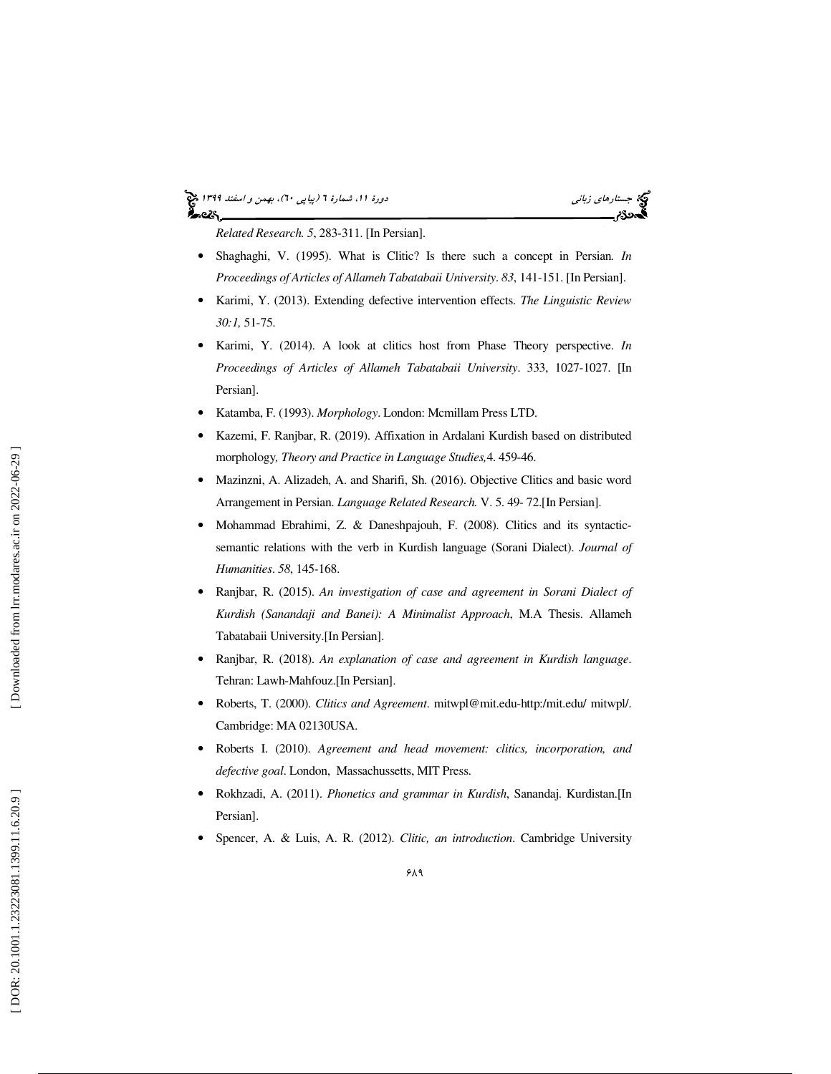#### جستاره*اي زباني (بياپي 60)، بهمن و اسفند 1*394 فرانس به 130 دورة ا $\mu$  شمارة 1 (پياپي 61)، بهم*ن و اسفند 1*34 فر ಹಿಂದಿ

*Related Research. 5*, 283-311. [In Persian].

- Shaghaghi, V. (1995). What is Clitic? Is there such a concept in Persian. *In Proceedings of Articles of Allameh Tabatabaii University*. *83*, 141-151. [In Persian].
- Karimi, Y. (2013). Extending defective intervention effects. *The Linguistic Review 30:1,* 51-75.
- Karimi, Y. (2014). A look at clitics host from Phase Theory perspective. *In Proceedings of Articles of Allameh Tabatabaii University*. 333, 1027-1027. [In Persian].
- Katamba, F. (1993). *Morphology*. London: Mcmillam Press LTD.
- Kazemi, F. Ranjbar, R. (2019). Affixation in Ardalani Kurdish based on distributed morphology*, Theory and Practice in Language Studies,*4. 459-46.
- Mazinzni, A. Alizadeh, A. and Sharifi, Sh. (2016). Objective Clitics and basic word Arrangement in Persian. *Language Related Research.* V. 5. 49- 72.[In Persian].
- Mohammad Ebrahimi, Z. & Daneshpajouh, F. (2008). Clitics and its syntacticsemantic relations with the verb in Kurdish language (Sorani Dialect). *Journal of Humanities*. *58*, 145-168.
- Ranjbar, R. (2015). *An investigation of case and agreement in Sorani Dialect of Kurdish (Sanandaji and Banei): A Minimalist Approac h*, M.A Thesis. Allameh Tabatabaii University.[In Persian].
- Ranjbar, R. (2018). *An explanation of case and agreement in Kurdish language*. Tehran: Lawh-Mahfouz.[In Persian].
- Roberts, T. (2000). *Clitics and Agreement*. mitwpl@mit.edu-http:/mit.edu/ mitwpl/. Cambridge: MA 02130USA.
- Roberts I. (2010). *Agreement and head movement: clitics, incorporation, and defective goal*. London, Massachussetts, MIT Press.
- Rokhzadi, A. (2011). *Phonetics and grammar in Kurdish*, Sanandaj. Kurdistan.[In Persian].
- Spencer, A. & Luis, A. R. (2012). *Clitic, an introduction*. Cambridge University

Downloaded from lrr.modares.ac.ir on 2022-06-29